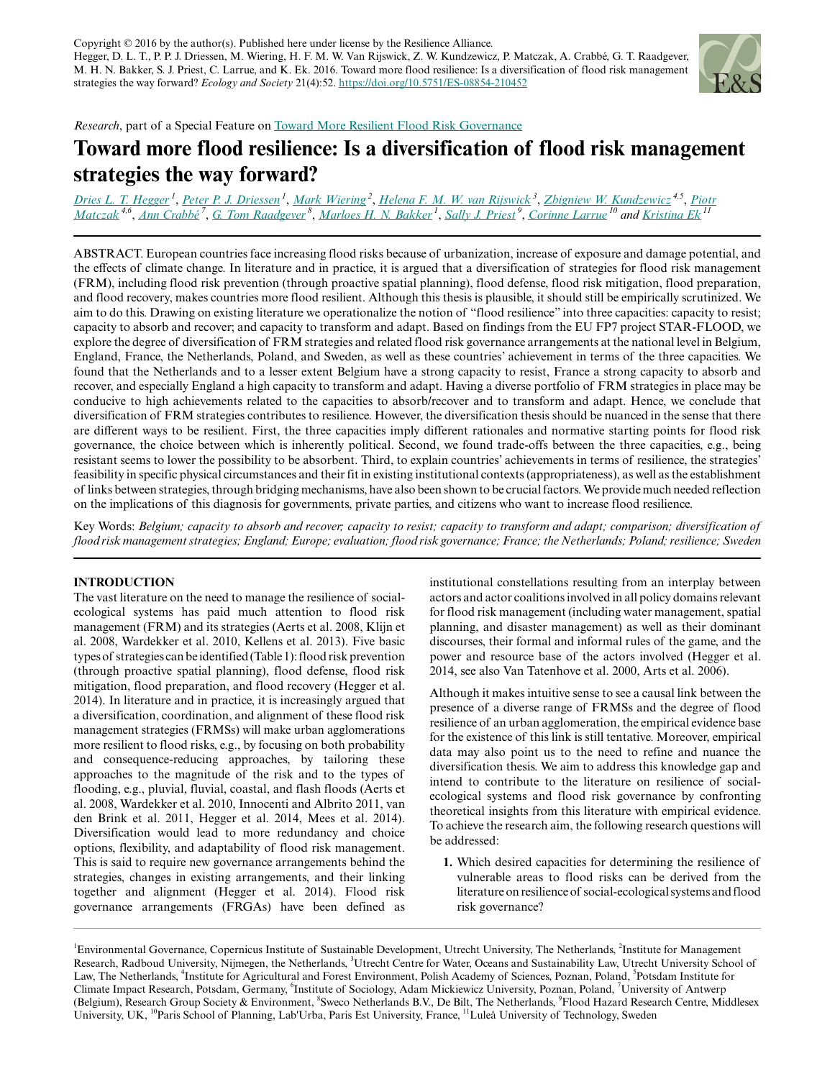

# *Research*, part of a Special Feature on [Toward More Resilient Flood Risk Governance](http://www.ecologyandsociety.org/viewissue.php?sf=115)

# **Toward more flood resilience: Is a diversification of flood risk management strategies the way forward?**

*[Dries L. T. Hegger](mailto:d.l.t.hegger@uu.nl)<sup>1</sup>* , *[Peter P. J. Driessen](mailto:p.driessen@uu.nl)<sup>1</sup>* , *[Mark Wiering](mailto:m.wiering@fm.ru.nl)<sup>2</sup>* , *[Helena F. M. W. van Rijswick](mailto:H.vanRijswick@uu.nl)<sup>3</sup>* , *[Zbigniew W. Kundzewicz](mailto:kundzewicz@yahoo.com) 4,5* , *[Piotr](mailto:matczak@amu.edu.pl)* <u>[Matczak](mailto:matczak@amu.edu.pl) <sup>4,6</sup>, [Ann Crabbé](mailto:ann.crabbe@uantwerpen.be) <sup>7</sup>, [G. Tom Raadgever](mailto:tom.raadgever@sweco.nl)  $^8$ , [Marloes H. N. Bakker](mailto:bakkerm@lifetime.oregonstate.edu)  $^1$ , [Sally J. Priest](mailto:s.priest@mdx.ac.uk)  $^9$ , [Corinne Larrue](mailto:corinne.larrue@u-pec.fr)  $^{10}$  and [Kristina Ek](mailto:kristina.ek@ltu.se)  $^{11}$ </u>

ABSTRACT. European countries face increasing flood risks because of urbanization, increase of exposure and damage potential, and the effects of climate change. In literature and in practice, it is argued that a diversification of strategies for flood risk management (FRM), including flood risk prevention (through proactive spatial planning), flood defense, flood risk mitigation, flood preparation, and flood recovery, makes countries more flood resilient. Although this thesis is plausible, it should still be empirically scrutinized. We aim to do this. Drawing on existing literature we operationalize the notion of "flood resilience" into three capacities: capacity to resist; capacity to absorb and recover; and capacity to transform and adapt. Based on findings from the EU FP7 project STAR-FLOOD, we explore the degree of diversification of FRM strategies and related flood risk governance arrangements at the national level in Belgium, England, France, the Netherlands, Poland, and Sweden, as well as these countries' achievement in terms of the three capacities. We found that the Netherlands and to a lesser extent Belgium have a strong capacity to resist, France a strong capacity to absorb and recover, and especially England a high capacity to transform and adapt. Having a diverse portfolio of FRM strategies in place may be conducive to high achievements related to the capacities to absorb/recover and to transform and adapt. Hence, we conclude that diversification of FRM strategies contributes to resilience. However, the diversification thesis should be nuanced in the sense that there are different ways to be resilient. First, the three capacities imply different rationales and normative starting points for flood risk governance, the choice between which is inherently political. Second, we found trade-offs between the three capacities, e.g., being resistant seems to lower the possibility to be absorbent. Third, to explain countries' achievements in terms of resilience, the strategies' feasibility in specific physical circumstances and their fit in existing institutional contexts (appropriateness), as well as the establishment of links between strategies, through bridging mechanisms, have also been shown to be crucial factors. We provide much needed reflection on the implications of this diagnosis for governments, private parties, and citizens who want to increase flood resilience.

Key Words: *Belgium; capacity to absorb and recover; capacity to resist; capacity to transform and adapt; comparison; diversification of flood risk management strategies; England; Europe; evaluation; flood risk governance; France; the Netherlands; Poland; resilience; Sweden*

# **INTRODUCTION**

The vast literature on the need to manage the resilience of socialecological systems has paid much attention to flood risk management (FRM) and its strategies (Aerts et al. 2008, Klijn et al. 2008, Wardekker et al. 2010, Kellens et al. 2013). Five basic types of strategies can be identified (Table 1): flood risk prevention (through proactive spatial planning), flood defense, flood risk mitigation, flood preparation, and flood recovery (Hegger et al. 2014). In literature and in practice, it is increasingly argued that a diversification, coordination, and alignment of these flood risk management strategies (FRMSs) will make urban agglomerations more resilient to flood risks, e.g., by focusing on both probability and consequence-reducing approaches, by tailoring these approaches to the magnitude of the risk and to the types of flooding, e.g., pluvial, fluvial, coastal, and flash floods (Aerts et al. 2008, Wardekker et al. 2010, Innocenti and Albrito 2011, van den Brink et al. 2011, Hegger et al. 2014, Mees et al. 2014). Diversification would lead to more redundancy and choice options, flexibility, and adaptability of flood risk management. This is said to require new governance arrangements behind the strategies, changes in existing arrangements, and their linking together and alignment (Hegger et al. 2014). Flood risk governance arrangements (FRGAs) have been defined as

institutional constellations resulting from an interplay between actors and actor coalitions involved in all policy domains relevant for flood risk management (including water management, spatial planning, and disaster management) as well as their dominant discourses, their formal and informal rules of the game, and the power and resource base of the actors involved (Hegger et al. 2014, see also Van Tatenhove et al. 2000, Arts et al. 2006).

Although it makes intuitive sense to see a causal link between the presence of a diverse range of FRMSs and the degree of flood resilience of an urban agglomeration, the empirical evidence base for the existence of this link is still tentative. Moreover, empirical data may also point us to the need to refine and nuance the diversification thesis. We aim to address this knowledge gap and intend to contribute to the literature on resilience of socialecological systems and flood risk governance by confronting theoretical insights from this literature with empirical evidence. To achieve the research aim, the following research questions will be addressed:

**1.** Which desired capacities for determining the resilience of vulnerable areas to flood risks can be derived from the literature on resilience of social-ecological systems and flood risk governance?

<sup>1</sup>Environmental Governance, Copernicus Institute of Sustainable Development, Utrecht University, The Netherlands, <sup>2</sup>Institute for Management Research, Radboud University, Nijmegen, the Netherlands, <sup>3</sup>Utrecht Centre for Water, Oceans and Sustainability Law, Utrecht University School of Law, The Netherlands, <sup>4</sup>Institute for Agricultural and Forest Environment, Polish Academy of Sciences, Poznan, Poland, <sup>5</sup>Potsdam Institute for Climate Impact Research, Potsdam, Germany, <sup>6</sup>Institute of Sociology, Adam Mickiewicz University, Poznan, Poland, <sup>7</sup>University of Antwerp (Belgium), Research Group Society & Environment, <sup>8</sup>Sweco Netherlands B.V., De Bilt, The Netherlands, <sup>9</sup>Flood Hazard Research Centre, Middlesex University, UK, <sup>10</sup>Paris School of Planning, Lab'Urba, Paris Est University, France, <sup>11</sup>Luleå University of Technology, Sweden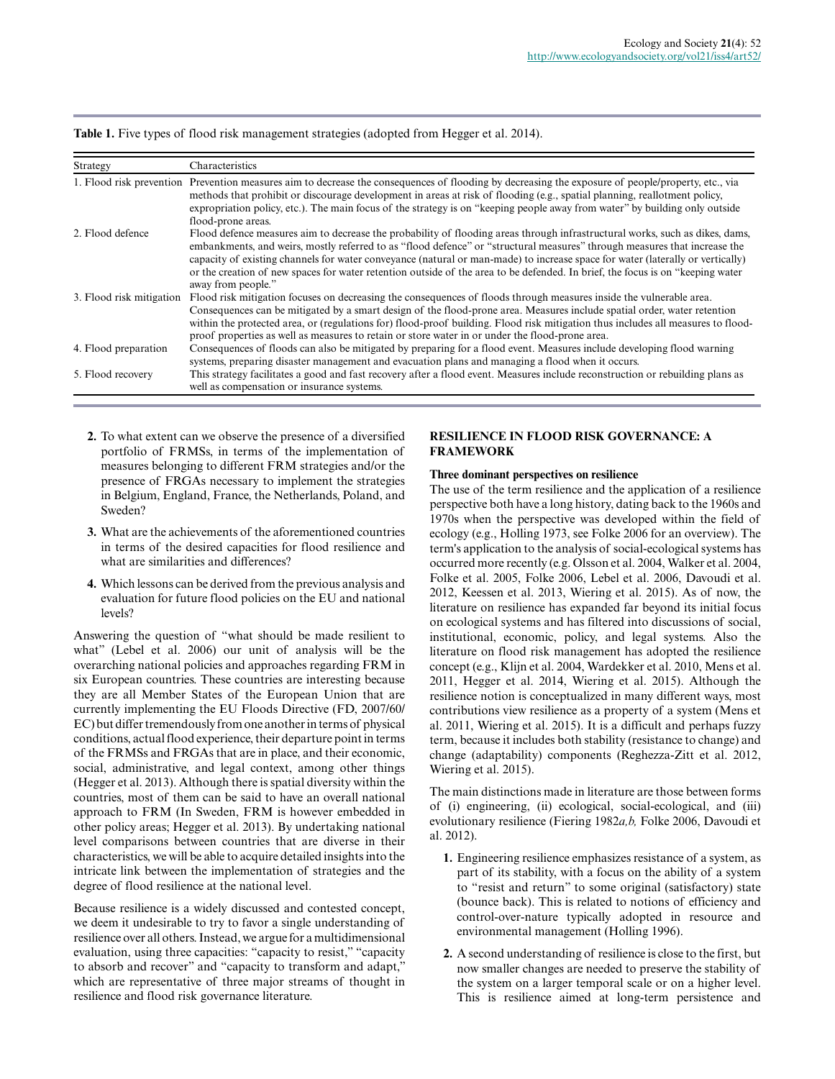| Strategy                 | Characteristics                                                                                                                                                                                                                                                                                                                                                                                                                                                                                                                                     |  |
|--------------------------|-----------------------------------------------------------------------------------------------------------------------------------------------------------------------------------------------------------------------------------------------------------------------------------------------------------------------------------------------------------------------------------------------------------------------------------------------------------------------------------------------------------------------------------------------------|--|
|                          | 1. Flood risk prevention Prevention measures aim to decrease the consequences of flooding by decreasing the exposure of people/property, etc., via<br>methods that prohibit or discourage development in areas at risk of flooding (e.g., spatial planning, reallotment policy,<br>expropriation policy, etc.). The main focus of the strategy is on "keeping people away from water" by building only outside<br>flood-prone areas.                                                                                                                |  |
| 2. Flood defence         | Flood defence measures aim to decrease the probability of flooding areas through infrastructural works, such as dikes, dams,<br>embankments, and weirs, mostly referred to as "flood defence" or "structural measures" through measures that increase the<br>capacity of existing channels for water conveyance (natural or man-made) to increase space for water (laterally or vertically)<br>or the creation of new spaces for water retention outside of the area to be defended. In brief, the focus is on "keeping water<br>away from people." |  |
| 3. Flood risk mitigation | Flood risk mitigation focuses on decreasing the consequences of floods through measures inside the vulnerable area.<br>Consequences can be mitigated by a smart design of the flood-prone area. Measures include spatial order, water retention<br>within the protected area, or (regulations for) flood-proof building. Flood risk mitigation thus includes all measures to flood-<br>proof properties as well as measures to retain or store water in or under the flood-prone area.                                                              |  |
| 4. Flood preparation     | Consequences of floods can also be mitigated by preparing for a flood event. Measures include developing flood warning<br>systems, preparing disaster management and evacuation plans and managing a flood when it occurs.                                                                                                                                                                                                                                                                                                                          |  |
| 5. Flood recovery        | This strategy facilitates a good and fast recovery after a flood event. Measures include reconstruction or rebuilding plans as<br>well as compensation or insurance systems.                                                                                                                                                                                                                                                                                                                                                                        |  |

**Table 1.** Five types of flood risk management strategies (adopted from Hegger et al. 2014).

- **2.** To what extent can we observe the presence of a diversified portfolio of FRMSs, in terms of the implementation of measures belonging to different FRM strategies and/or the presence of FRGAs necessary to implement the strategies in Belgium, England, France, the Netherlands, Poland, and Sweden?
- **3.** What are the achievements of the aforementioned countries in terms of the desired capacities for flood resilience and what are similarities and differences?
- **4.** Which lessons can be derived from the previous analysis and evaluation for future flood policies on the EU and national levels?

Answering the question of "what should be made resilient to what" (Lebel et al. 2006) our unit of analysis will be the overarching national policies and approaches regarding FRM in six European countries. These countries are interesting because they are all Member States of the European Union that are currently implementing the EU Floods Directive (FD, 2007/60/ EC) but differ tremendously from one another in terms of physical conditions, actual flood experience, their departure point in terms of the FRMSs and FRGAs that are in place, and their economic, social, administrative, and legal context, among other things (Hegger et al. 2013). Although there is spatial diversity within the countries, most of them can be said to have an overall national approach to FRM (In Sweden, FRM is however embedded in other policy areas; Hegger et al. 2013). By undertaking national level comparisons between countries that are diverse in their characteristics, we will be able to acquire detailed insights into the intricate link between the implementation of strategies and the degree of flood resilience at the national level.

Because resilience is a widely discussed and contested concept, we deem it undesirable to try to favor a single understanding of resilience over all others. Instead, we argue for a multidimensional evaluation, using three capacities: "capacity to resist," "capacity to absorb and recover" and "capacity to transform and adapt," which are representative of three major streams of thought in resilience and flood risk governance literature.

# **RESILIENCE IN FLOOD RISK GOVERNANCE: A FRAMEWORK**

# **Three dominant perspectives on resilience**

The use of the term resilience and the application of a resilience perspective both have a long history, dating back to the 1960s and 1970s when the perspective was developed within the field of ecology (e.g., Holling 1973, see Folke 2006 for an overview). The term's application to the analysis of social-ecological systems has occurred more recently (e.g. Olsson et al. 2004, Walker et al. 2004, Folke et al. 2005, Folke 2006, Lebel et al. 2006, Davoudi et al. 2012, Keessen et al. 2013, Wiering et al. 2015). As of now, the literature on resilience has expanded far beyond its initial focus on ecological systems and has filtered into discussions of social, institutional, economic, policy, and legal systems. Also the literature on flood risk management has adopted the resilience concept (e.g., Klijn et al. 2004, Wardekker et al. 2010, Mens et al. 2011, Hegger et al. 2014, Wiering et al. 2015). Although the resilience notion is conceptualized in many different ways, most contributions view resilience as a property of a system (Mens et al. 2011, Wiering et al. 2015). It is a difficult and perhaps fuzzy term, because it includes both stability (resistance to change) and change (adaptability) components (Reghezza-Zitt et al. 2012, Wiering et al. 2015).

The main distinctions made in literature are those between forms of (i) engineering, (ii) ecological, social-ecological, and (iii) evolutionary resilience (Fiering 1982*a,b,* Folke 2006, Davoudi et al. 2012).

- **1.** Engineering resilience emphasizes resistance of a system, as part of its stability, with a focus on the ability of a system to "resist and return" to some original (satisfactory) state (bounce back). This is related to notions of efficiency and control-over-nature typically adopted in resource and environmental management (Holling 1996).
- **2.** A second understanding of resilience is close to the first, but now smaller changes are needed to preserve the stability of the system on a larger temporal scale or on a higher level. This is resilience aimed at long-term persistence and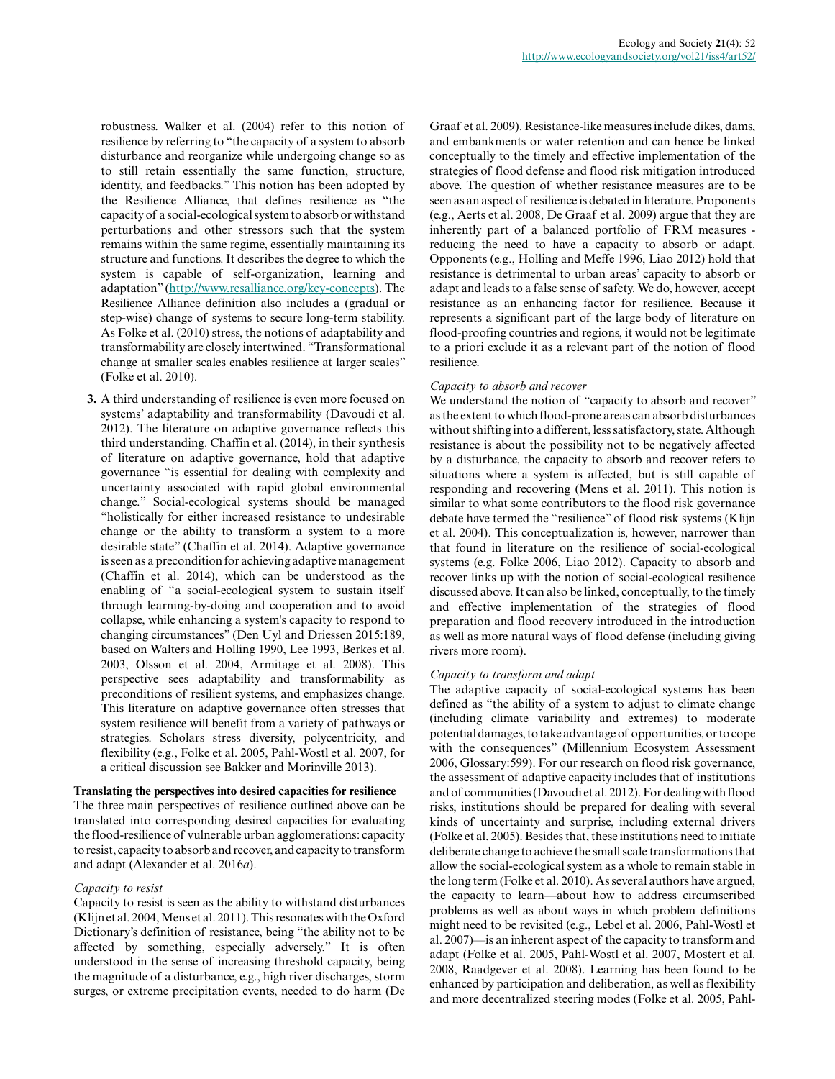robustness. Walker et al. (2004) refer to this notion of resilience by referring to "the capacity of a system to absorb disturbance and reorganize while undergoing change so as to still retain essentially the same function, structure, identity, and feedbacks." This notion has been adopted by the Resilience Alliance, that defines resilience as "the capacity of a social-ecological system to absorb or withstand perturbations and other stressors such that the system remains within the same regime, essentially maintaining its structure and functions. It describes the degree to which the system is capable of self-organization, learning and adaptation" [\(http://www.resalliance.org/key-concepts\)](http://www.resalliance.org/key-concepts). The Resilience Alliance definition also includes a (gradual or step-wise) change of systems to secure long-term stability. As Folke et al. (2010) stress, the notions of adaptability and transformability are closely intertwined. "Transformational change at smaller scales enables resilience at larger scales" (Folke et al. 2010).

**3.** A third understanding of resilience is even more focused on systems' adaptability and transformability (Davoudi et al. 2012). The literature on adaptive governance reflects this third understanding. Chaffin et al. (2014), in their synthesis of literature on adaptive governance, hold that adaptive governance "is essential for dealing with complexity and uncertainty associated with rapid global environmental change." Social-ecological systems should be managed "holistically for either increased resistance to undesirable change or the ability to transform a system to a more desirable state" (Chaffin et al. 2014). Adaptive governance is seen as a precondition for achieving adaptive management (Chaffin et al. 2014), which can be understood as the enabling of "a social-ecological system to sustain itself through learning-by-doing and cooperation and to avoid collapse, while enhancing a system's capacity to respond to changing circumstances" (Den Uyl and Driessen 2015:189, based on Walters and Holling 1990, Lee 1993, Berkes et al. 2003, Olsson et al. 2004, Armitage et al. 2008). This perspective sees adaptability and transformability as preconditions of resilient systems, and emphasizes change. This literature on adaptive governance often stresses that system resilience will benefit from a variety of pathways or strategies. Scholars stress diversity, polycentricity, and flexibility (e.g., Folke et al. 2005, Pahl-Wostl et al. 2007, for a critical discussion see Bakker and Morinville 2013).

#### **Translating the perspectives into desired capacities for resilience**

The three main perspectives of resilience outlined above can be translated into corresponding desired capacities for evaluating the flood-resilience of vulnerable urban agglomerations: capacity to resist, capacity to absorb and recover, and capacity to transform and adapt (Alexander et al. 2016*a*).

#### *Capacity to resist*

Capacity to resist is seen as the ability to withstand disturbances (Klijn et al. 2004, Mens et al. 2011). This resonates with the Oxford Dictionary's definition of resistance, being "the ability not to be affected by something, especially adversely." It is often understood in the sense of increasing threshold capacity, being the magnitude of a disturbance, e.g., high river discharges, storm surges, or extreme precipitation events, needed to do harm (De

Graaf et al. 2009). Resistance-like measures include dikes, dams, and embankments or water retention and can hence be linked conceptually to the timely and effective implementation of the strategies of flood defense and flood risk mitigation introduced above. The question of whether resistance measures are to be seen as an aspect of resilience is debated in literature. Proponents (e.g., Aerts et al. 2008, De Graaf et al. 2009) argue that they are inherently part of a balanced portfolio of FRM measures reducing the need to have a capacity to absorb or adapt. Opponents (e.g., Holling and Meffe 1996, Liao 2012) hold that resistance is detrimental to urban areas' capacity to absorb or adapt and leads to a false sense of safety. We do, however, accept resistance as an enhancing factor for resilience. Because it represents a significant part of the large body of literature on flood-proofing countries and regions, it would not be legitimate to a priori exclude it as a relevant part of the notion of flood resilience.

# *Capacity to absorb and recover*

We understand the notion of "capacity to absorb and recover" as the extent to which flood-prone areas can absorb disturbances without shifting into a different, less satisfactory, state. Although resistance is about the possibility not to be negatively affected by a disturbance, the capacity to absorb and recover refers to situations where a system is affected, but is still capable of responding and recovering (Mens et al. 2011). This notion is similar to what some contributors to the flood risk governance debate have termed the "resilience" of flood risk systems (Klijn et al. 2004). This conceptualization is, however, narrower than that found in literature on the resilience of social-ecological systems (e.g. Folke 2006, Liao 2012). Capacity to absorb and recover links up with the notion of social-ecological resilience discussed above. It can also be linked, conceptually, to the timely and effective implementation of the strategies of flood preparation and flood recovery introduced in the introduction as well as more natural ways of flood defense (including giving rivers more room).

#### *Capacity to transform and adapt*

The adaptive capacity of social-ecological systems has been defined as "the ability of a system to adjust to climate change (including climate variability and extremes) to moderate potential damages, to take advantage of opportunities, or to cope with the consequences" (Millennium Ecosystem Assessment 2006, Glossary:599). For our research on flood risk governance, the assessment of adaptive capacity includes that of institutions and of communities (Davoudi et al. 2012). For dealing with flood risks, institutions should be prepared for dealing with several kinds of uncertainty and surprise, including external drivers (Folke et al. 2005). Besides that, these institutions need to initiate deliberate change to achieve the small scale transformations that allow the social-ecological system as a whole to remain stable in the long term (Folke et al. 2010). As several authors have argued, the capacity to learn—about how to address circumscribed problems as well as about ways in which problem definitions might need to be revisited (e.g., Lebel et al. 2006, Pahl-Wostl et al. 2007)—is an inherent aspect of the capacity to transform and adapt (Folke et al. 2005, Pahl-Wostl et al. 2007, Mostert et al. 2008, Raadgever et al. 2008). Learning has been found to be enhanced by participation and deliberation, as well as flexibility and more decentralized steering modes (Folke et al. 2005, Pahl-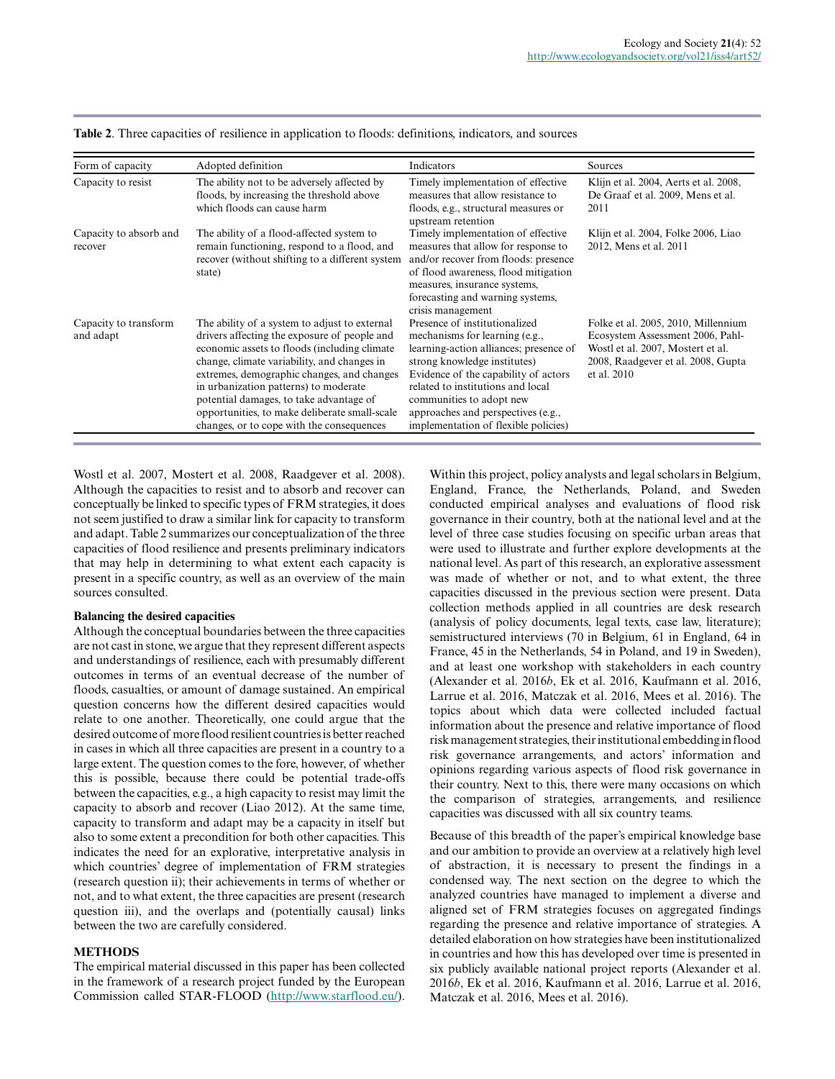| Form of capacity                   | Adopted definition                                                                                                                                                                                                                                                                                                                                                                                                            | Indicators                                                                                                                                                                                                                                                                                                                       | Sources                                                                                                                                                           |
|------------------------------------|-------------------------------------------------------------------------------------------------------------------------------------------------------------------------------------------------------------------------------------------------------------------------------------------------------------------------------------------------------------------------------------------------------------------------------|----------------------------------------------------------------------------------------------------------------------------------------------------------------------------------------------------------------------------------------------------------------------------------------------------------------------------------|-------------------------------------------------------------------------------------------------------------------------------------------------------------------|
| Capacity to resist                 | The ability not to be adversely affected by<br>floods, by increasing the threshold above<br>which floods can cause harm                                                                                                                                                                                                                                                                                                       | Timely implementation of effective<br>measures that allow resistance to<br>floods, e.g., structural measures or<br>upstream retention                                                                                                                                                                                            | Klijn et al. 2004. Aerts et al. 2008.<br>De Graaf et al. 2009, Mens et al.<br>2011                                                                                |
| Capacity to absorb and<br>recover  | The ability of a flood-affected system to<br>remain functioning, respond to a flood, and<br>recover (without shifting to a different system<br>state)                                                                                                                                                                                                                                                                         | Timely implementation of effective<br>measures that allow for response to<br>and/or recover from floods: presence<br>of flood awareness, flood mitigation<br>measures, insurance systems,<br>forecasting and warning systems,<br>crisis management                                                                               | Klijn et al. 2004, Folke 2006, Liao<br>2012, Mens et al. 2011                                                                                                     |
| Capacity to transform<br>and adapt | The ability of a system to adjust to external<br>drivers affecting the exposure of people and<br>economic assets to floods (including climate)<br>change, climate variability, and changes in<br>extremes, demographic changes, and changes<br>in urbanization patterns) to moderate<br>potential damages, to take advantage of<br>opportunities, to make deliberate small-scale<br>changes, or to cope with the consequences | Presence of institutionalized<br>mechanisms for learning (e.g.,<br>learning-action alliances; presence of<br>strong knowledge institutes)<br>Evidence of the capability of actors<br>related to institutions and local<br>communities to adopt new<br>approaches and perspectives (e.g.,<br>implementation of flexible policies) | Folke et al. 2005, 2010, Millennium<br>Ecosystem Assessment 2006, Pahl-<br>Wostl et al. 2007, Mostert et al.<br>2008, Raadgever et al. 2008, Gupta<br>et al. 2010 |

**Table 2**. Three capacities of resilience in application to floods: definitions, indicators, and sources

Wostl et al. 2007, Mostert et al. 2008, Raadgever et al. 2008). Although the capacities to resist and to absorb and recover can conceptually be linked to specific types of FRM strategies, it does not seem justified to draw a similar link for capacity to transform and adapt. Table 2 summarizes our conceptualization of the three capacities of flood resilience and presents preliminary indicators that may help in determining to what extent each capacity is present in a specific country, as well as an overview of the main sources consulted.

### **Balancing the desired capacities**

Although the conceptual boundaries between the three capacities are not cast in stone, we argue that they represent different aspects and understandings of resilience, each with presumably different outcomes in terms of an eventual decrease of the number of floods, casualties, or amount of damage sustained. An empirical question concerns how the different desired capacities would relate to one another. Theoretically, one could argue that the desired outcome of more flood resilient countries is better reached in cases in which all three capacities are present in a country to a large extent. The question comes to the fore, however, of whether this is possible, because there could be potential trade-offs between the capacities, e.g., a high capacity to resist may limit the capacity to absorb and recover (Liao 2012). At the same time, capacity to transform and adapt may be a capacity in itself but also to some extent a precondition for both other capacities. This indicates the need for an explorative, interpretative analysis in which countries' degree of implementation of FRM strategies (research question ii); their achievements in terms of whether or not, and to what extent, the three capacities are present (research question iii), and the overlaps and (potentially causal) links between the two are carefully considered.

#### **METHODS**

The empirical material discussed in this paper has been collected in the framework of a research project funded by the European Commission called STAR-FLOOD [\(http://www.starflood.eu/\)](http://www.starflood.eu/).

Within this project, policy analysts and legal scholars in Belgium, England, France, the Netherlands, Poland, and Sweden conducted empirical analyses and evaluations of flood risk governance in their country, both at the national level and at the level of three case studies focusing on specific urban areas that were used to illustrate and further explore developments at the national level. As part of this research, an explorative assessment was made of whether or not, and to what extent, the three capacities discussed in the previous section were present. Data collection methods applied in all countries are desk research (analysis of policy documents, legal texts, case law, literature); semistructured interviews (70 in Belgium, 61 in England, 64 in France, 45 in the Netherlands, 54 in Poland, and 19 in Sweden), and at least one workshop with stakeholders in each country (Alexander et al. 2016*b*, Ek et al. 2016, Kaufmann et al. 2016, Larrue et al. 2016, Matczak et al. 2016, Mees et al. 2016). The topics about which data were collected included factual information about the presence and relative importance of flood risk management strategies, their institutional embedding in flood risk governance arrangements, and actors' information and opinions regarding various aspects of flood risk governance in their country. Next to this, there were many occasions on which the comparison of strategies, arrangements, and resilience capacities was discussed with all six country teams.

Because of this breadth of the paper's empirical knowledge base and our ambition to provide an overview at a relatively high level of abstraction, it is necessary to present the findings in a condensed way. The next section on the degree to which the analyzed countries have managed to implement a diverse and aligned set of FRM strategies focuses on aggregated findings regarding the presence and relative importance of strategies. A detailed elaboration on how strategies have been institutionalized in countries and how this has developed over time is presented in six publicly available national project reports (Alexander et al. 2016*b*, Ek et al. 2016, Kaufmann et al. 2016, Larrue et al. 2016, Matczak et al. 2016, Mees et al. 2016).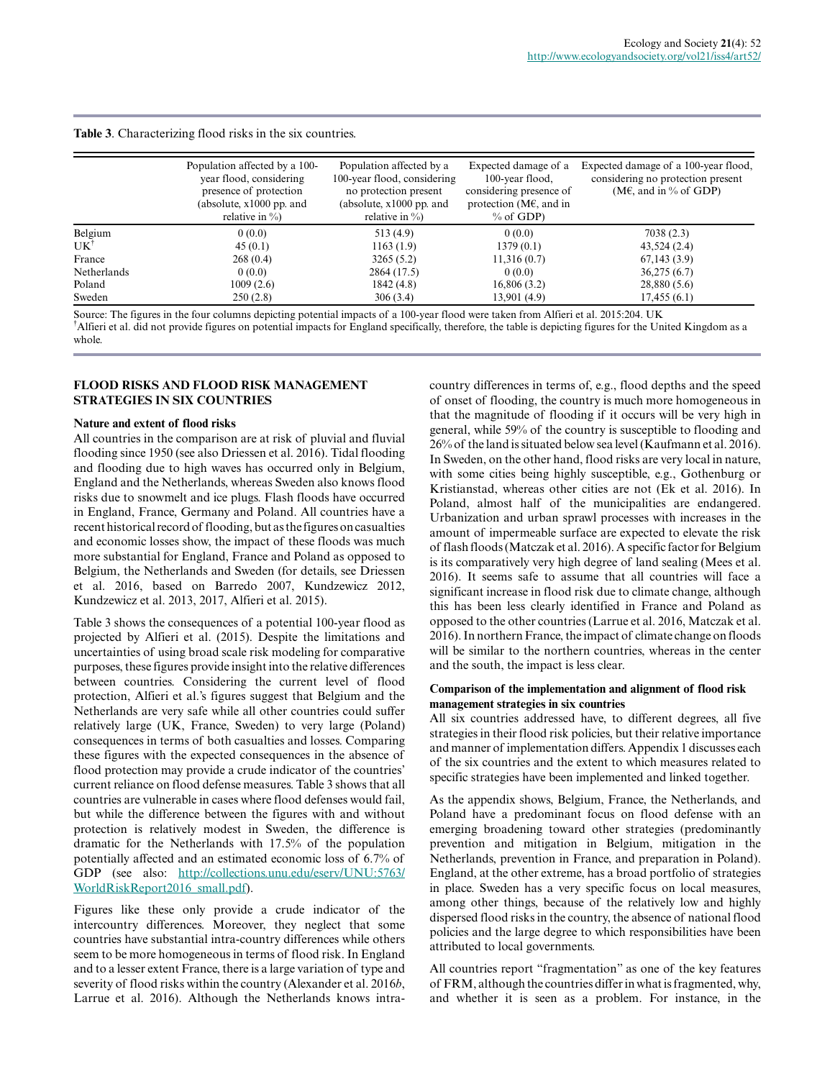|  | Table 3. Characterizing flood risks in the six countries. |  |  |  |  |  |  |
|--|-----------------------------------------------------------|--|--|--|--|--|--|
|--|-----------------------------------------------------------|--|--|--|--|--|--|

|                | Population affected by a 100-<br>year flood, considering<br>presence of protection<br>(absolute, $x1000$ pp. and<br>relative in $\%$ ) | Population affected by a<br>100-year flood, considering<br>no protection present<br>(absolute, $x1000$ pp. and<br>relative in $\%$ ) | Expected damage of a<br>100-year flood,<br>considering presence of<br>protection (M $\epsilon$ , and in<br>$%$ of GDP) | Expected damage of a 100-year flood,<br>considering no protection present<br>(ME, and in % of GDP) |
|----------------|----------------------------------------------------------------------------------------------------------------------------------------|--------------------------------------------------------------------------------------------------------------------------------------|------------------------------------------------------------------------------------------------------------------------|----------------------------------------------------------------------------------------------------|
| Belgium        | 0(0.0)                                                                                                                                 | 513 (4.9)                                                                                                                            | 0(0.0)                                                                                                                 | 7038(2.3)                                                                                          |
| $UK^{\dagger}$ | 45(0.1)                                                                                                                                | 1163(1.9)                                                                                                                            | 1379(0.1)                                                                                                              | 43,524(2.4)                                                                                        |
| France         | 268(0.4)                                                                                                                               | 3265(5.2)                                                                                                                            | 11,316(0.7)                                                                                                            | 67,143(3.9)                                                                                        |
| Netherlands    | 0(0.0)                                                                                                                                 | 2864 (17.5)                                                                                                                          | 0(0.0)                                                                                                                 | 36,275(6.7)                                                                                        |
| Poland         | 1009(2.6)                                                                                                                              | 1842(4.8)                                                                                                                            | 16,806(3.2)                                                                                                            | 28,880 (5.6)                                                                                       |
| Sweden         | 250(2.8)                                                                                                                               | 306(3.4)                                                                                                                             | 13,901 (4.9)                                                                                                           | 17,455(6.1)                                                                                        |

Source: The figures in the four columns depicting potential impacts of a 100-year flood were taken from Alfieri et al. 2015:204. UK †Alfieri et al. did not provide figures on potential impacts for England specifically, therefore, the table is depicting figures for the United Kingdom as a whole.

### **FLOOD RISKS AND FLOOD RISK MANAGEMENT STRATEGIES IN SIX COUNTRIES**

#### **Nature and extent of flood risks**

All countries in the comparison are at risk of pluvial and fluvial flooding since 1950 (see also Driessen et al. 2016). Tidal flooding and flooding due to high waves has occurred only in Belgium, England and the Netherlands, whereas Sweden also knows flood risks due to snowmelt and ice plugs. Flash floods have occurred in England, France, Germany and Poland. All countries have a recent historical record of flooding, but as the figures on casualties and economic losses show, the impact of these floods was much more substantial for England, France and Poland as opposed to Belgium, the Netherlands and Sweden (for details, see Driessen et al. 2016, based on Barredo 2007, Kundzewicz 2012, Kundzewicz et al. 2013, 2017, Alfieri et al. 2015).

Table 3 shows the consequences of a potential 100-year flood as projected by Alfieri et al. (2015). Despite the limitations and uncertainties of using broad scale risk modeling for comparative purposes, these figures provide insight into the relative differences between countries. Considering the current level of flood protection, Alfieri et al.'s figures suggest that Belgium and the Netherlands are very safe while all other countries could suffer relatively large (UK, France, Sweden) to very large (Poland) consequences in terms of both casualties and losses. Comparing these figures with the expected consequences in the absence of flood protection may provide a crude indicator of the countries' current reliance on flood defense measures. Table 3 shows that all countries are vulnerable in cases where flood defenses would fail, but while the difference between the figures with and without protection is relatively modest in Sweden, the difference is dramatic for the Netherlands with 17.5% of the population potentially affected and an estimated economic loss of 6.7% of GDP (see also: [http://collections.unu.edu/eserv/UNU:5763/](http://collections.unu.edu/eserv/UNU:5763/WorldRiskReport2016_small.pdf) [WorldRiskReport2016\\_small.pdf](http://collections.unu.edu/eserv/UNU:5763/WorldRiskReport2016_small.pdf)).

Figures like these only provide a crude indicator of the intercountry differences. Moreover, they neglect that some countries have substantial intra-country differences while others seem to be more homogeneous in terms of flood risk. In England and to a lesser extent France, there is a large variation of type and severity of flood risks within the country (Alexander et al. 2016*b*, Larrue et al. 2016). Although the Netherlands knows intracountry differences in terms of, e.g., flood depths and the speed of onset of flooding, the country is much more homogeneous in that the magnitude of flooding if it occurs will be very high in general, while 59% of the country is susceptible to flooding and 26% of the land is situated below sea level (Kaufmann et al. 2016). In Sweden, on the other hand, flood risks are very local in nature, with some cities being highly susceptible, e.g., Gothenburg or Kristianstad, whereas other cities are not (Ek et al. 2016). In Poland, almost half of the municipalities are endangered. Urbanization and urban sprawl processes with increases in the amount of impermeable surface are expected to elevate the risk of flash floods (Matczak et al. 2016). A specific factor for Belgium is its comparatively very high degree of land sealing (Mees et al. 2016). It seems safe to assume that all countries will face a significant increase in flood risk due to climate change, although this has been less clearly identified in France and Poland as opposed to the other countries (Larrue et al. 2016, Matczak et al. 2016). In northern France, the impact of climate change on floods will be similar to the northern countries, whereas in the center and the south, the impact is less clear.

#### **Comparison of the implementation and alignment of flood risk management strategies in six countries**

All six countries addressed have, to different degrees, all five strategies in their flood risk policies, but their relative importance and manner of implementation differs. Appendix 1 discusses each of the six countries and the extent to which measures related to specific strategies have been implemented and linked together.

As the appendix shows, Belgium, France, the Netherlands, and Poland have a predominant focus on flood defense with an emerging broadening toward other strategies (predominantly prevention and mitigation in Belgium, mitigation in the Netherlands, prevention in France, and preparation in Poland). England, at the other extreme, has a broad portfolio of strategies in place. Sweden has a very specific focus on local measures, among other things, because of the relatively low and highly dispersed flood risks in the country, the absence of national flood policies and the large degree to which responsibilities have been attributed to local governments.

All countries report "fragmentation" as one of the key features of FRM, although the countries differ in what is fragmented, why, and whether it is seen as a problem. For instance, in the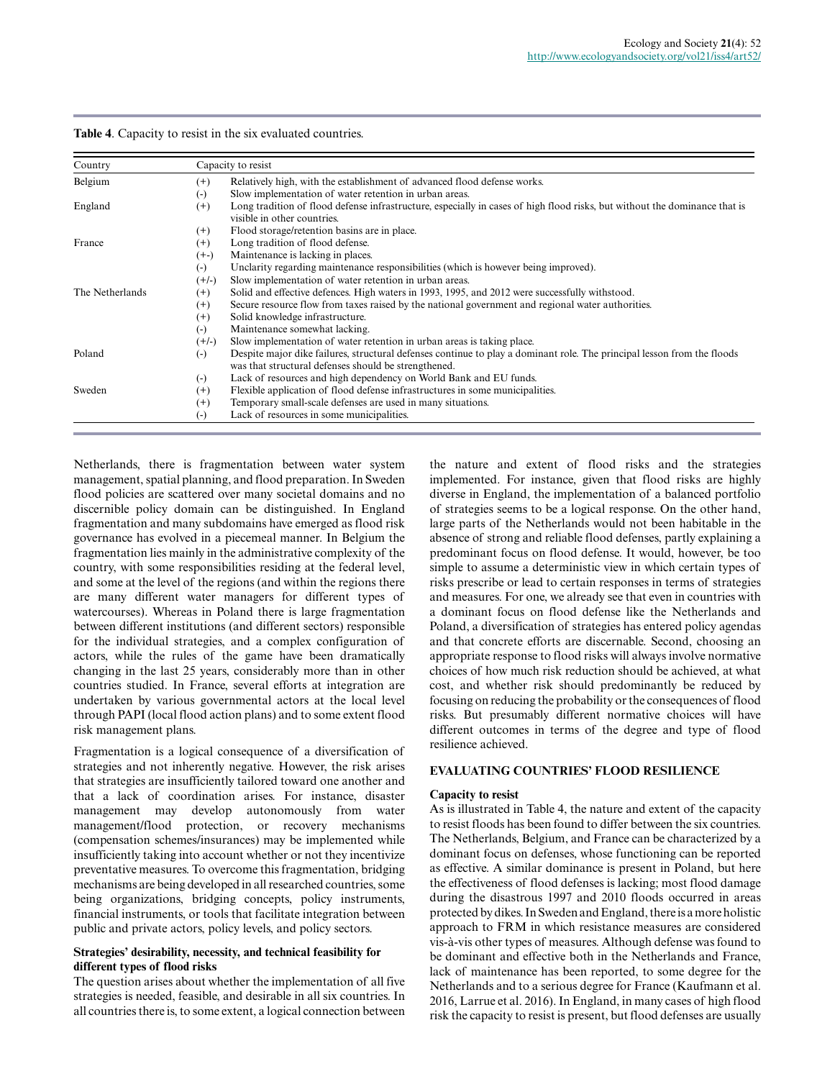| Country         |          | Capacity to resist                                                                                                                                                              |
|-----------------|----------|---------------------------------------------------------------------------------------------------------------------------------------------------------------------------------|
| Belgium         | $^{(+)}$ | Relatively high, with the establishment of advanced flood defense works.                                                                                                        |
|                 | $(-)$    | Slow implementation of water retention in urban areas.                                                                                                                          |
| England         | $^{(+)}$ | Long tradition of flood defense infrastructure, especially in cases of high flood risks, but without the dominance that is<br>visible in other countries.                       |
|                 | $^{(+)}$ | Flood storage/retention basins are in place.                                                                                                                                    |
| France          | $^{(+)}$ | Long tradition of flood defense.                                                                                                                                                |
|                 | $(+-)$   | Maintenance is lacking in places.                                                                                                                                               |
|                 | $(-)$    | Unclarity regarding maintenance responsibilities (which is however being improved).                                                                                             |
|                 | $(+/-)$  | Slow implementation of water retention in urban areas.                                                                                                                          |
| The Netherlands | $^{(+)}$ | Solid and effective defences. High waters in 1993, 1995, and 2012 were successfully withstood.                                                                                  |
|                 | $^{(+)}$ | Secure resource flow from taxes raised by the national government and regional water authorities.                                                                               |
|                 | $^{(+)}$ | Solid knowledge infrastructure.                                                                                                                                                 |
|                 | $(-)$    | Maintenance somewhat lacking.                                                                                                                                                   |
|                 | $(+/-)$  | Slow implementation of water retention in urban areas is taking place.                                                                                                          |
| Poland          | $(-)$    | Despite major dike failures, structural defenses continue to play a dominant role. The principal lesson from the floods<br>was that structural defenses should be strengthened. |
|                 | $(-)$    | Lack of resources and high dependency on World Bank and EU funds.                                                                                                               |
| Sweden          | $^{(+)}$ | Flexible application of flood defense infrastructures in some municipalities.                                                                                                   |
|                 | $^{(+)}$ | Temporary small-scale defenses are used in many situations.                                                                                                                     |
|                 | $(-)$    | Lack of resources in some municipalities.                                                                                                                                       |

Netherlands, there is fragmentation between water system management, spatial planning, and flood preparation. In Sweden flood policies are scattered over many societal domains and no discernible policy domain can be distinguished. In England fragmentation and many subdomains have emerged as flood risk governance has evolved in a piecemeal manner. In Belgium the fragmentation lies mainly in the administrative complexity of the country, with some responsibilities residing at the federal level, and some at the level of the regions (and within the regions there are many different water managers for different types of watercourses). Whereas in Poland there is large fragmentation between different institutions (and different sectors) responsible for the individual strategies, and a complex configuration of actors, while the rules of the game have been dramatically changing in the last 25 years, considerably more than in other countries studied. In France, several efforts at integration are undertaken by various governmental actors at the local level through PAPI (local flood action plans) and to some extent flood risk management plans.

Fragmentation is a logical consequence of a diversification of strategies and not inherently negative. However, the risk arises that strategies are insufficiently tailored toward one another and that a lack of coordination arises. For instance, disaster management may develop autonomously from water management/flood protection, or recovery mechanisms (compensation schemes/insurances) may be implemented while insufficiently taking into account whether or not they incentivize preventative measures. To overcome this fragmentation, bridging mechanisms are being developed in all researched countries, some being organizations, bridging concepts, policy instruments, financial instruments, or tools that facilitate integration between public and private actors, policy levels, and policy sectors.

### **Strategies' desirability, necessity, and technical feasibility for different types of flood risks**

The question arises about whether the implementation of all five strategies is needed, feasible, and desirable in all six countries. In all countries there is, to some extent, a logical connection between

the nature and extent of flood risks and the strategies implemented. For instance, given that flood risks are highly diverse in England, the implementation of a balanced portfolio of strategies seems to be a logical response. On the other hand, large parts of the Netherlands would not been habitable in the absence of strong and reliable flood defenses, partly explaining a predominant focus on flood defense. It would, however, be too simple to assume a deterministic view in which certain types of risks prescribe or lead to certain responses in terms of strategies and measures. For one, we already see that even in countries with a dominant focus on flood defense like the Netherlands and Poland, a diversification of strategies has entered policy agendas and that concrete efforts are discernable. Second, choosing an appropriate response to flood risks will always involve normative choices of how much risk reduction should be achieved, at what cost, and whether risk should predominantly be reduced by focusing on reducing the probability or the consequences of flood risks. But presumably different normative choices will have different outcomes in terms of the degree and type of flood resilience achieved.

# **EVALUATING COUNTRIES' FLOOD RESILIENCE**

# **Capacity to resist**

As is illustrated in Table 4, the nature and extent of the capacity to resist floods has been found to differ between the six countries. The Netherlands, Belgium, and France can be characterized by a dominant focus on defenses, whose functioning can be reported as effective. A similar dominance is present in Poland, but here the effectiveness of flood defenses is lacking; most flood damage during the disastrous 1997 and 2010 floods occurred in areas protected by dikes. In Sweden and England, there is a more holistic approach to FRM in which resistance measures are considered vis-à-vis other types of measures. Although defense was found to be dominant and effective both in the Netherlands and France, lack of maintenance has been reported, to some degree for the Netherlands and to a serious degree for France (Kaufmann et al. 2016, Larrue et al. 2016). In England, in many cases of high flood risk the capacity to resist is present, but flood defenses are usually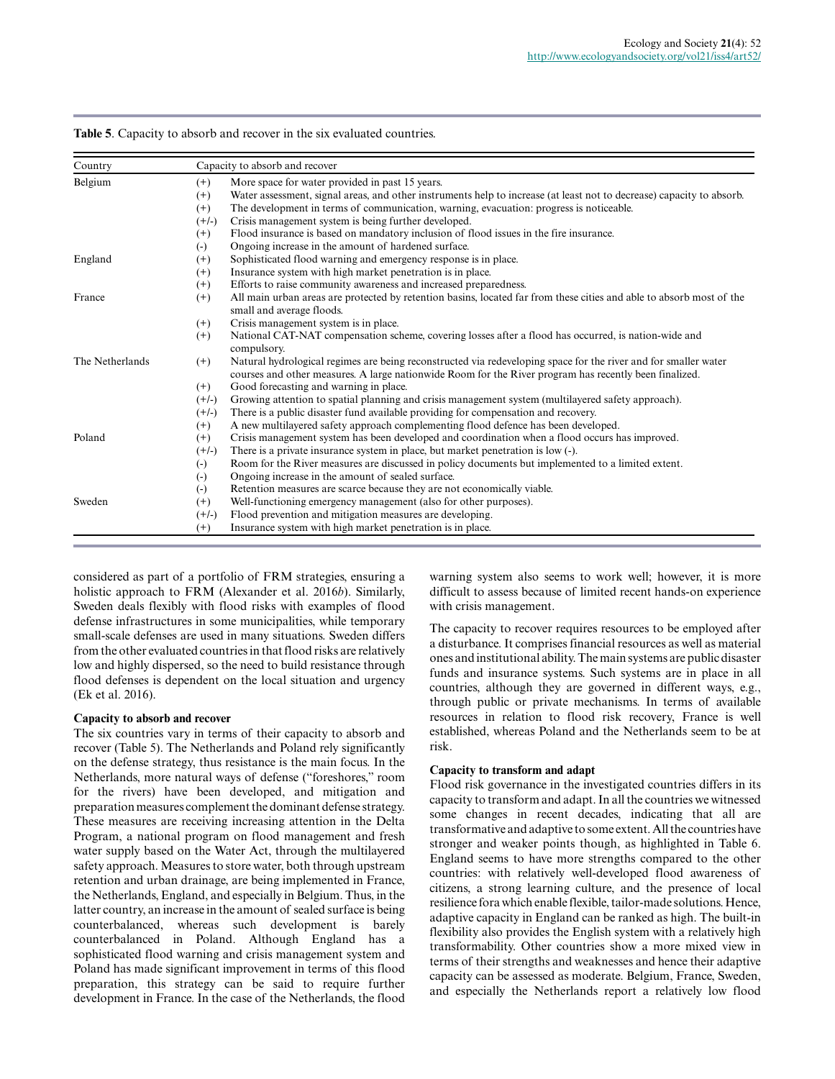| Country         | Capacity to absorb and recover |                                                                                                                                                                                                                           |  |  |  |
|-----------------|--------------------------------|---------------------------------------------------------------------------------------------------------------------------------------------------------------------------------------------------------------------------|--|--|--|
| Belgium         | $^{(+)}$                       | More space for water provided in past 15 years.                                                                                                                                                                           |  |  |  |
|                 | $^{(+)}$                       | Water assessment, signal areas, and other instruments help to increase (at least not to decrease) capacity to absorb.                                                                                                     |  |  |  |
|                 | $(+)$                          | The development in terms of communication, warning, evacuation: progress is noticeable.                                                                                                                                   |  |  |  |
|                 | $(+/-)$                        | Crisis management system is being further developed.                                                                                                                                                                      |  |  |  |
|                 | $^{(+)}$                       | Flood insurance is based on mandatory inclusion of flood issues in the fire insurance.                                                                                                                                    |  |  |  |
|                 | $(-)$                          | Ongoing increase in the amount of hardened surface.                                                                                                                                                                       |  |  |  |
| England         | $^{(+)}$                       | Sophisticated flood warning and emergency response is in place.                                                                                                                                                           |  |  |  |
|                 | $(+)$                          | Insurance system with high market penetration is in place.                                                                                                                                                                |  |  |  |
|                 | $(+)$                          | Efforts to raise community awareness and increased preparedness.                                                                                                                                                          |  |  |  |
| France          | $^{(+)}$                       | All main urban areas are protected by retention basins, located far from these cities and able to absorb most of the<br>small and average floods.                                                                         |  |  |  |
|                 | $^{(+)}$                       | Crisis management system is in place.                                                                                                                                                                                     |  |  |  |
|                 | $(+)$                          | National CAT-NAT compensation scheme, covering losses after a flood has occurred, is nation-wide and<br>compulsory.                                                                                                       |  |  |  |
| The Netherlands | $^{(+)}$                       | Natural hydrological regimes are being reconstructed via redeveloping space for the river and for smaller water<br>courses and other measures. A large nationwide Room for the River program has recently been finalized. |  |  |  |
|                 | $(+)$                          | Good forecasting and warning in place.                                                                                                                                                                                    |  |  |  |
|                 | $(+/-)$                        | Growing attention to spatial planning and crisis management system (multilayered safety approach).                                                                                                                        |  |  |  |
|                 | $(+/-)$                        | There is a public disaster fund available providing for compensation and recovery.                                                                                                                                        |  |  |  |
|                 | $(+)$                          | A new multilayered safety approach complementing flood defence has been developed.                                                                                                                                        |  |  |  |
| Poland          | $^{(+)}$                       | Crisis management system has been developed and coordination when a flood occurs has improved.                                                                                                                            |  |  |  |
|                 | $(+/-)$                        | There is a private insurance system in place, but market penetration is low $(-)$ .                                                                                                                                       |  |  |  |
|                 | $(-)$                          | Room for the River measures are discussed in policy documents but implemented to a limited extent.                                                                                                                        |  |  |  |
|                 | $(-)$                          | Ongoing increase in the amount of sealed surface.                                                                                                                                                                         |  |  |  |
|                 | $(-)$                          | Retention measures are scarce because they are not economically viable.                                                                                                                                                   |  |  |  |
| Sweden          | $^{(+)}$                       | Well-functioning emergency management (also for other purposes).                                                                                                                                                          |  |  |  |
|                 | $(+/-)$                        | Flood prevention and mitigation measures are developing.                                                                                                                                                                  |  |  |  |
|                 | $^{(+)}$                       | Insurance system with high market penetration is in place.                                                                                                                                                                |  |  |  |

**Table 5**. Capacity to absorb and recover in the six evaluated countries.

considered as part of a portfolio of FRM strategies, ensuring a holistic approach to FRM (Alexander et al. 2016*b*). Similarly, Sweden deals flexibly with flood risks with examples of flood defense infrastructures in some municipalities, while temporary small-scale defenses are used in many situations. Sweden differs from the other evaluated countries in that flood risks are relatively low and highly dispersed, so the need to build resistance through flood defenses is dependent on the local situation and urgency (Ek et al. 2016).

#### **Capacity to absorb and recover**

The six countries vary in terms of their capacity to absorb and recover (Table 5). The Netherlands and Poland rely significantly on the defense strategy, thus resistance is the main focus. In the Netherlands, more natural ways of defense ("foreshores," room for the rivers) have been developed, and mitigation and preparation measures complement the dominant defense strategy. These measures are receiving increasing attention in the Delta Program, a national program on flood management and fresh water supply based on the Water Act, through the multilayered safety approach. Measures to store water, both through upstream retention and urban drainage, are being implemented in France, the Netherlands, England, and especially in Belgium. Thus, in the latter country, an increase in the amount of sealed surface is being counterbalanced, whereas such development is barely counterbalanced in Poland. Although England has a sophisticated flood warning and crisis management system and Poland has made significant improvement in terms of this flood preparation, this strategy can be said to require further development in France. In the case of the Netherlands, the flood

warning system also seems to work well; however, it is more difficult to assess because of limited recent hands-on experience with crisis management.

The capacity to recover requires resources to be employed after a disturbance. It comprises financial resources as well as material ones and institutional ability. The main systems are public disaster funds and insurance systems. Such systems are in place in all countries, although they are governed in different ways, e.g., through public or private mechanisms. In terms of available resources in relation to flood risk recovery, France is well established, whereas Poland and the Netherlands seem to be at risk.

### **Capacity to transform and adapt**

Flood risk governance in the investigated countries differs in its capacity to transform and adapt. In all the countries we witnessed some changes in recent decades, indicating that all are transformative and adaptive to some extent. All the countries have stronger and weaker points though, as highlighted in Table 6. England seems to have more strengths compared to the other countries: with relatively well-developed flood awareness of citizens, a strong learning culture, and the presence of local resilience fora which enable flexible, tailor-made solutions. Hence, adaptive capacity in England can be ranked as high. The built-in flexibility also provides the English system with a relatively high transformability. Other countries show a more mixed view in terms of their strengths and weaknesses and hence their adaptive capacity can be assessed as moderate. Belgium, France, Sweden, and especially the Netherlands report a relatively low flood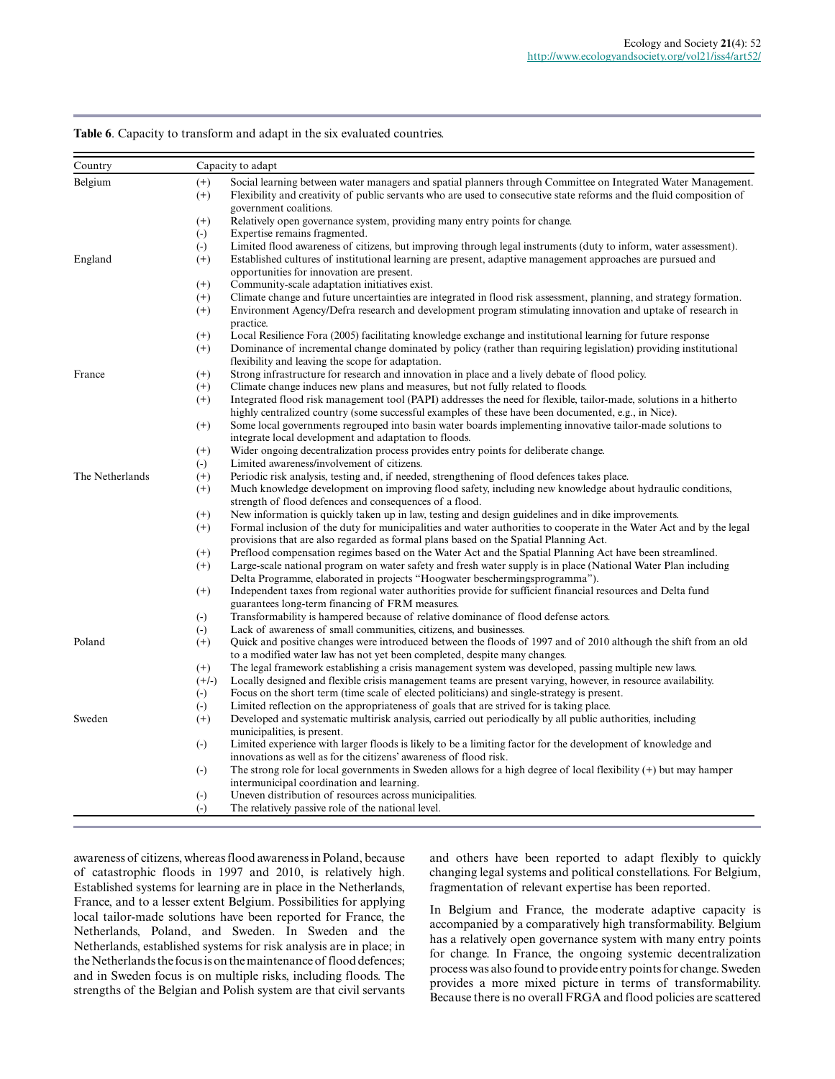| Country         |                   | Capacity to adapt                                                                                                                                                                 |
|-----------------|-------------------|-----------------------------------------------------------------------------------------------------------------------------------------------------------------------------------|
| Belgium         | $(+)$             | Social learning between water managers and spatial planners through Committee on Integrated Water Management.                                                                     |
|                 | $(+)$             | Flexibility and creativity of public servants who are used to consecutive state reforms and the fluid composition of<br>government coalitions.                                    |
|                 | $^{(+)}$          | Relatively open governance system, providing many entry points for change.                                                                                                        |
|                 | $(-)$             | Expertise remains fragmented.                                                                                                                                                     |
|                 | $(-)$             | Limited flood awareness of citizens, but improving through legal instruments (duty to inform, water assessment).                                                                  |
| England         | $^{(+)}$          | Established cultures of institutional learning are present, adaptive management approaches are pursued and                                                                        |
|                 |                   | opportunities for innovation are present.                                                                                                                                         |
|                 | $^{(+)}$          | Community-scale adaptation initiatives exist.                                                                                                                                     |
|                 | $(+)$             | Climate change and future uncertainties are integrated in flood risk assessment, planning, and strategy formation.                                                                |
|                 | $^{(+)}$          | Environment Agency/Defra research and development program stimulating innovation and uptake of research in                                                                        |
|                 |                   | practice.                                                                                                                                                                         |
|                 | $^{(+)}$          | Local Resilience Fora (2005) facilitating knowledge exchange and institutional learning for future response                                                                       |
|                 | $(+)$             | Dominance of incremental change dominated by policy (rather than requiring legislation) providing institutional                                                                   |
|                 |                   | flexibility and leaving the scope for adaptation.                                                                                                                                 |
| France          | $^{(+)}$          | Strong infrastructure for research and innovation in place and a lively debate of flood policy.                                                                                   |
|                 | $(+)$             | Climate change induces new plans and measures, but not fully related to floods.                                                                                                   |
|                 | $(+)$             | Integrated flood risk management tool (PAPI) addresses the need for flexible, tailor-made, solutions in a hitherto                                                                |
|                 |                   | highly centralized country (some successful examples of these have been documented, e.g., in Nice).                                                                               |
|                 | $^{(+)}$          | Some local governments regrouped into basin water boards implementing innovative tailor-made solutions to                                                                         |
|                 |                   | integrate local development and adaptation to floods.                                                                                                                             |
|                 | $^{(+)}$          | Wider ongoing decentralization process provides entry points for deliberate change.                                                                                               |
|                 | $(-)$             | Limited awareness/involvement of citizens.                                                                                                                                        |
| The Netherlands | $^{(+)}$          | Periodic risk analysis, testing and, if needed, strengthening of flood defences takes place.                                                                                      |
|                 | $^{(+)}$          | Much knowledge development on improving flood safety, including new knowledge about hydraulic conditions,                                                                         |
|                 |                   | strength of flood defences and consequences of a flood.                                                                                                                           |
|                 | $^{(+)}$          | New information is quickly taken up in law, testing and design guidelines and in dike improvements.                                                                               |
|                 | $(+)$             | Formal inclusion of the duty for municipalities and water authorities to cooperate in the Water Act and by the legal                                                              |
|                 |                   | provisions that are also regarded as formal plans based on the Spatial Planning Act.                                                                                              |
|                 | $(+)$             | Preflood compensation regimes based on the Water Act and the Spatial Planning Act have been streamlined.                                                                          |
|                 | $(+)$             | Large-scale national program on water safety and fresh water supply is in place (National Water Plan including                                                                    |
|                 |                   | Delta Programme, elaborated in projects "Hoogwater beschermingsprogramma").                                                                                                       |
|                 | $^{(+)}$          | Independent taxes from regional water authorities provide for sufficient financial resources and Delta fund                                                                       |
|                 |                   | guarantees long-term financing of FRM measures.                                                                                                                                   |
|                 | $(-)$             | Transformability is hampered because of relative dominance of flood defense actors.                                                                                               |
|                 | $(-)$             | Lack of awareness of small communities, citizens, and businesses.                                                                                                                 |
| Poland          | $^{(+)}$          | Quick and positive changes were introduced between the floods of 1997 and of 2010 although the shift from an old                                                                  |
|                 |                   | to a modified water law has not yet been completed, despite many changes.                                                                                                         |
|                 | $^{(+)}$          | The legal framework establishing a crisis management system was developed, passing multiple new laws.                                                                             |
|                 | $(+/-)$           | Locally designed and flexible crisis management teams are present varying, however, in resource availability.                                                                     |
|                 | $(-)$             | Focus on the short term (time scale of elected politicians) and single-strategy is present.                                                                                       |
|                 | $(-)$             | Limited reflection on the appropriateness of goals that are strived for is taking place.                                                                                          |
| Sweden          | $(+)$             | Developed and systematic multirisk analysis, carried out periodically by all public authorities, including<br>municipalities, is present.                                         |
|                 | $(\cdot)$         | Limited experience with larger floods is likely to be a limiting factor for the development of knowledge and<br>innovations as well as for the citizens' awareness of flood risk. |
|                 | $(-)$             | The strong role for local governments in Sweden allows for a high degree of local flexibility $(+)$ but may hamper                                                                |
|                 |                   | intermunicipal coordination and learning.                                                                                                                                         |
|                 | $\left( -\right)$ | Uneven distribution of resources across municipalities.                                                                                                                           |
|                 | $(-)$             | The relatively passive role of the national level.                                                                                                                                |
|                 |                   |                                                                                                                                                                                   |

**Table 6**. Capacity to transform and adapt in the six evaluated countries.

awareness of citizens, whereas flood awareness in Poland, because of catastrophic floods in 1997 and 2010, is relatively high. Established systems for learning are in place in the Netherlands, France, and to a lesser extent Belgium. Possibilities for applying local tailor-made solutions have been reported for France, the Netherlands, Poland, and Sweden. In Sweden and the Netherlands, established systems for risk analysis are in place; in the Netherlands the focus is on the maintenance of flood defences; and in Sweden focus is on multiple risks, including floods. The strengths of the Belgian and Polish system are that civil servants and others have been reported to adapt flexibly to quickly changing legal systems and political constellations. For Belgium, fragmentation of relevant expertise has been reported.

In Belgium and France, the moderate adaptive capacity is accompanied by a comparatively high transformability. Belgium has a relatively open governance system with many entry points for change. In France, the ongoing systemic decentralization process was also found to provide entry points for change. Sweden provides a more mixed picture in terms of transformability. Because there is no overall FRGA and flood policies are scattered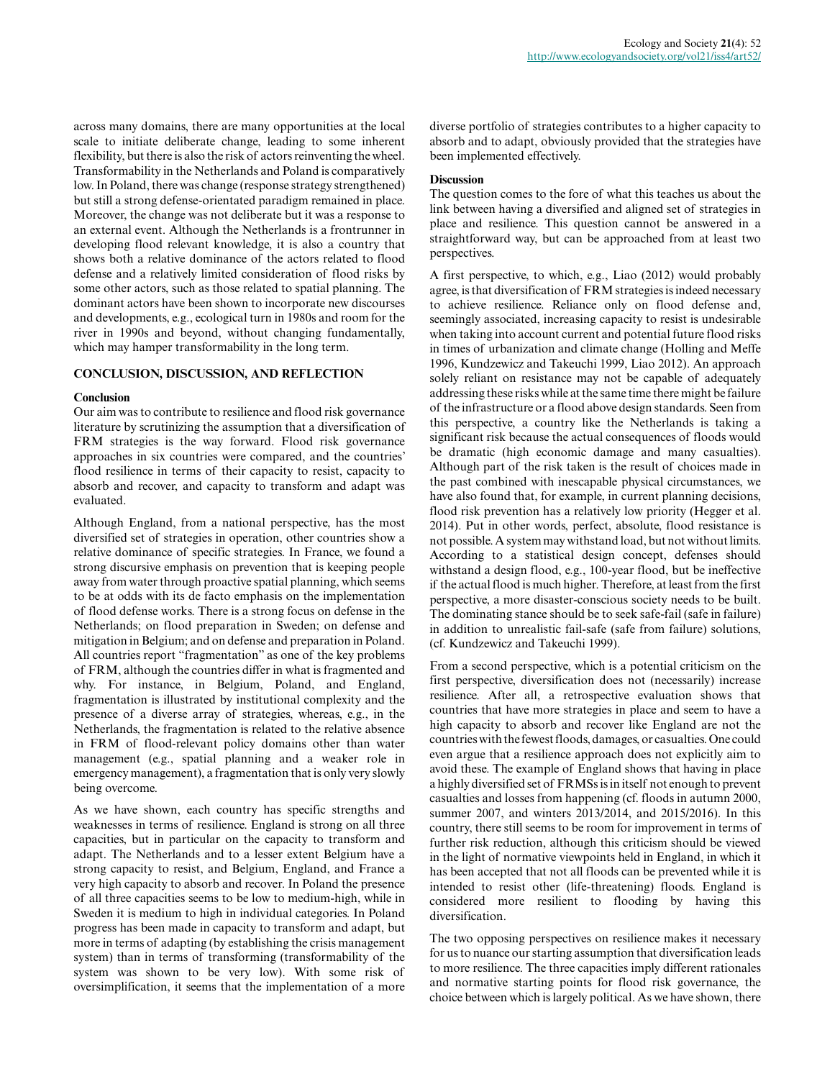across many domains, there are many opportunities at the local scale to initiate deliberate change, leading to some inherent flexibility, but there is also the risk of actors reinventing the wheel. Transformability in the Netherlands and Poland is comparatively low. In Poland, there was change (response strategy strengthened) but still a strong defense-orientated paradigm remained in place. Moreover, the change was not deliberate but it was a response to an external event. Although the Netherlands is a frontrunner in developing flood relevant knowledge, it is also a country that shows both a relative dominance of the actors related to flood defense and a relatively limited consideration of flood risks by some other actors, such as those related to spatial planning. The dominant actors have been shown to incorporate new discourses and developments, e.g., ecological turn in 1980s and room for the river in 1990s and beyond, without changing fundamentally, which may hamper transformability in the long term.

### **CONCLUSION, DISCUSSION, AND REFLECTION**

#### **Conclusion**

Our aim was to contribute to resilience and flood risk governance literature by scrutinizing the assumption that a diversification of FRM strategies is the way forward. Flood risk governance approaches in six countries were compared, and the countries' flood resilience in terms of their capacity to resist, capacity to absorb and recover, and capacity to transform and adapt was evaluated.

Although England, from a national perspective, has the most diversified set of strategies in operation, other countries show a relative dominance of specific strategies. In France, we found a strong discursive emphasis on prevention that is keeping people away from water through proactive spatial planning, which seems to be at odds with its de facto emphasis on the implementation of flood defense works. There is a strong focus on defense in the Netherlands; on flood preparation in Sweden; on defense and mitigation in Belgium; and on defense and preparation in Poland. All countries report "fragmentation" as one of the key problems of FRM, although the countries differ in what is fragmented and why. For instance, in Belgium, Poland, and England, fragmentation is illustrated by institutional complexity and the presence of a diverse array of strategies, whereas, e.g., in the Netherlands, the fragmentation is related to the relative absence in FRM of flood-relevant policy domains other than water management (e.g., spatial planning and a weaker role in emergency management), a fragmentation that is only very slowly being overcome.

As we have shown, each country has specific strengths and weaknesses in terms of resilience. England is strong on all three capacities, but in particular on the capacity to transform and adapt. The Netherlands and to a lesser extent Belgium have a strong capacity to resist, and Belgium, England, and France a very high capacity to absorb and recover. In Poland the presence of all three capacities seems to be low to medium-high, while in Sweden it is medium to high in individual categories. In Poland progress has been made in capacity to transform and adapt, but more in terms of adapting (by establishing the crisis management system) than in terms of transforming (transformability of the system was shown to be very low). With some risk of oversimplification, it seems that the implementation of a more

diverse portfolio of strategies contributes to a higher capacity to absorb and to adapt, obviously provided that the strategies have been implemented effectively.

#### **Discussion**

The question comes to the fore of what this teaches us about the link between having a diversified and aligned set of strategies in place and resilience. This question cannot be answered in a straightforward way, but can be approached from at least two perspectives.

A first perspective, to which, e.g., Liao (2012) would probably agree, is that diversification of FRM strategies is indeed necessary to achieve resilience. Reliance only on flood defense and, seemingly associated, increasing capacity to resist is undesirable when taking into account current and potential future flood risks in times of urbanization and climate change (Holling and Meffe 1996, Kundzewicz and Takeuchi 1999, Liao 2012). An approach solely reliant on resistance may not be capable of adequately addressing these risks while at the same time there might be failure of the infrastructure or a flood above design standards. Seen from this perspective, a country like the Netherlands is taking a significant risk because the actual consequences of floods would be dramatic (high economic damage and many casualties). Although part of the risk taken is the result of choices made in the past combined with inescapable physical circumstances, we have also found that, for example, in current planning decisions, flood risk prevention has a relatively low priority (Hegger et al. 2014). Put in other words, perfect, absolute, flood resistance is not possible. A system may withstand load, but not without limits. According to a statistical design concept, defenses should withstand a design flood, e.g., 100-year flood, but be ineffective if the actual flood is much higher. Therefore, at least from the first perspective, a more disaster-conscious society needs to be built. The dominating stance should be to seek safe-fail (safe in failure) in addition to unrealistic fail-safe (safe from failure) solutions, (cf. Kundzewicz and Takeuchi 1999).

From a second perspective, which is a potential criticism on the first perspective, diversification does not (necessarily) increase resilience. After all, a retrospective evaluation shows that countries that have more strategies in place and seem to have a high capacity to absorb and recover like England are not the countries with the fewest floods, damages, or casualties. One could even argue that a resilience approach does not explicitly aim to avoid these. The example of England shows that having in place a highly diversified set of FRMSs is in itself not enough to prevent casualties and losses from happening (cf. floods in autumn 2000, summer 2007, and winters 2013/2014, and 2015/2016). In this country, there still seems to be room for improvement in terms of further risk reduction, although this criticism should be viewed in the light of normative viewpoints held in England, in which it has been accepted that not all floods can be prevented while it is intended to resist other (life-threatening) floods. England is considered more resilient to flooding by having this diversification.

The two opposing perspectives on resilience makes it necessary for us to nuance our starting assumption that diversification leads to more resilience. The three capacities imply different rationales and normative starting points for flood risk governance, the choice between which is largely political. As we have shown, there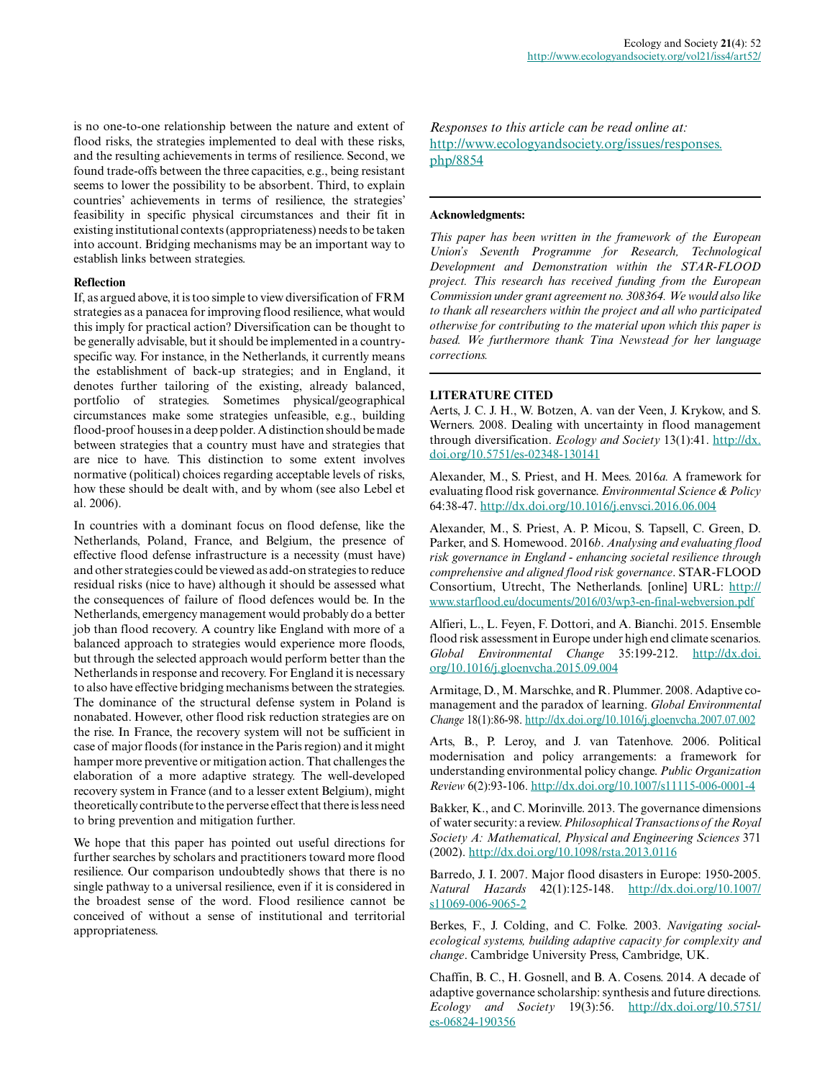is no one-to-one relationship between the nature and extent of flood risks, the strategies implemented to deal with these risks, and the resulting achievements in terms of resilience. Second, we found trade-offs between the three capacities, e.g., being resistant seems to lower the possibility to be absorbent. Third, to explain countries' achievements in terms of resilience, the strategies' feasibility in specific physical circumstances and their fit in existing institutional contexts (appropriateness) needs to be taken into account. Bridging mechanisms may be an important way to establish links between strategies.

#### **Reflection**

If, as argued above, it is too simple to view diversification of FRM strategies as a panacea for improving flood resilience, what would this imply for practical action? Diversification can be thought to be generally advisable, but it should be implemented in a countryspecific way. For instance, in the Netherlands, it currently means the establishment of back-up strategies; and in England, it denotes further tailoring of the existing, already balanced, portfolio of strategies. Sometimes physical/geographical circumstances make some strategies unfeasible, e.g., building flood-proof houses in a deep polder. A distinction should be made between strategies that a country must have and strategies that are nice to have. This distinction to some extent involves normative (political) choices regarding acceptable levels of risks, how these should be dealt with, and by whom (see also Lebel et al. 2006).

In countries with a dominant focus on flood defense, like the Netherlands, Poland, France, and Belgium, the presence of effective flood defense infrastructure is a necessity (must have) and other strategies could be viewed as add-on strategies to reduce residual risks (nice to have) although it should be assessed what the consequences of failure of flood defences would be. In the Netherlands, emergency management would probably do a better job than flood recovery. A country like England with more of a balanced approach to strategies would experience more floods, but through the selected approach would perform better than the Netherlands in response and recovery. For England it is necessary to also have effective bridging mechanisms between the strategies. The dominance of the structural defense system in Poland is nonabated. However, other flood risk reduction strategies are on the rise. In France, the recovery system will not be sufficient in case of major floods (for instance in the Paris region) and it might hamper more preventive or mitigation action. That challenges the elaboration of a more adaptive strategy. The well-developed recovery system in France (and to a lesser extent Belgium), might theoretically contribute to the perverse effect that there is less need to bring prevention and mitigation further.

We hope that this paper has pointed out useful directions for further searches by scholars and practitioners toward more flood resilience. Our comparison undoubtedly shows that there is no single pathway to a universal resilience, even if it is considered in the broadest sense of the word. Flood resilience cannot be conceived of without a sense of institutional and territorial appropriateness.

*Responses to this article can be read online at:* [http://www.ecologyandsociety.org/issues/responses.](http://www.ecologyandsociety.org/issues/responses.php/8854) [php/8854](http://www.ecologyandsociety.org/issues/responses.php/8854)

#### **Acknowledgments:**

*This paper has been written in the framework of the European Union's Seventh Programme for Research, Technological Development and Demonstration within the STAR-FLOOD project. This research has received funding from the European Commission under grant agreement no. 308364. We would also like to thank all researchers within the project and all who participated otherwise for contributing to the material upon which this paper is based. We furthermore thank Tina Newstead for her language corrections.*

### **LITERATURE CITED**

Aerts, J. C. J. H., W. Botzen, A. van der Veen, J. Krykow, and S. Werners. 2008. Dealing with uncertainty in flood management through diversification. *Ecology and Society* 13(1):41. [http://dx.](http://dx.doi.org/10.5751%2Fes-02348-130141) [doi.org/10.5751/es-02348-130141](http://dx.doi.org/10.5751%2Fes-02348-130141) 

Alexander, M., S. Priest, and H. Mees. 2016*a.* A framework for evaluating flood risk governance. *Environmental Science & Policy* 64:38-47. [http://dx.doi.org/10.1016/j.envsci.2016.06.004](http://dx.doi.org/10.1016%2Fj.envsci.2016.06.004)

Alexander, M., S. Priest, A. P. Micou, S. Tapsell, C. Green, D. Parker, and S. Homewood. 2016*b*. *Analysing and evaluating flood risk governance in England - enhancing societal resilience through comprehensive and aligned flood risk governance*. STAR-FLOOD Consortium, Utrecht, The Netherlands. [online] URL: [http://](http://www.starflood.eu/documents/2016/03/wp3-en-final-webversion.pdf) [www.starflood.eu/documents/2016/03/wp3-en-final-webversion.pdf](http://www.starflood.eu/documents/2016/03/wp3-en-final-webversion.pdf)

Alfieri, L., L. Feyen, F. Dottori, and A. Bianchi. 2015. Ensemble flood risk assessment in Europe under high end climate scenarios. *Global Environmental Change* 35:199-212. [http://dx.doi.](http://dx.doi.org/10.1016%2Fj.gloenvcha.2015.09.004) [org/10.1016/j.gloenvcha.2015.09.004](http://dx.doi.org/10.1016%2Fj.gloenvcha.2015.09.004)

Armitage, D., M. Marschke, and R. Plummer. 2008. Adaptive comanagement and the paradox of learning. *Global Environmental Change* 18(1):86-98. [http://dx.doi.org/10.1016/j.gloenvcha.2007.07.002](http://dx.doi.org/10.1016%2Fj.gloenvcha.2007.07.002) 

Arts, B., P. Leroy, and J. van Tatenhove. 2006. Political modernisation and policy arrangements: a framework for understanding environmental policy change. *Public Organization Review* 6(2):93-106. [http://dx.doi.org/10.1007/s11115-006-0001-4](http://dx.doi.org/10.1007%2Fs11115-006-0001-4) 

Bakker, K., and C. Morinville. 2013. The governance dimensions of water security: a review. *Philosophical Transactions of the Royal Society A: Mathematical, Physical and Engineering Sciences* 371 (2002). [http://dx.doi.org/10.1098/rsta.2013.0116](http://dx.doi.org/10.1098%2Frsta.2013.0116)

Barredo, J. I. 2007. Major flood disasters in Europe: 1950-2005. *Natural Hazards* 42(1):125-148. [http://dx.doi.org/10.1007/](http://dx.doi.org/10.1007%2Fs11069-006-9065-2) [s11069-006-9065-2](http://dx.doi.org/10.1007%2Fs11069-006-9065-2) 

Berkes, F., J. Colding, and C. Folke. 2003. *Navigating socialecological systems, building adaptive capacity for complexity and change*. Cambridge University Press, Cambridge, UK.

Chaffin, B. C., H. Gosnell, and B. A. Cosens. 2014. A decade of adaptive governance scholarship: synthesis and future directions. *Ecology and Society* 19(3):56. [http://dx.doi.org/10.5751/](http://dx.doi.org/10.5751%2Fes-06824-190356) [es-06824-190356](http://dx.doi.org/10.5751%2Fes-06824-190356)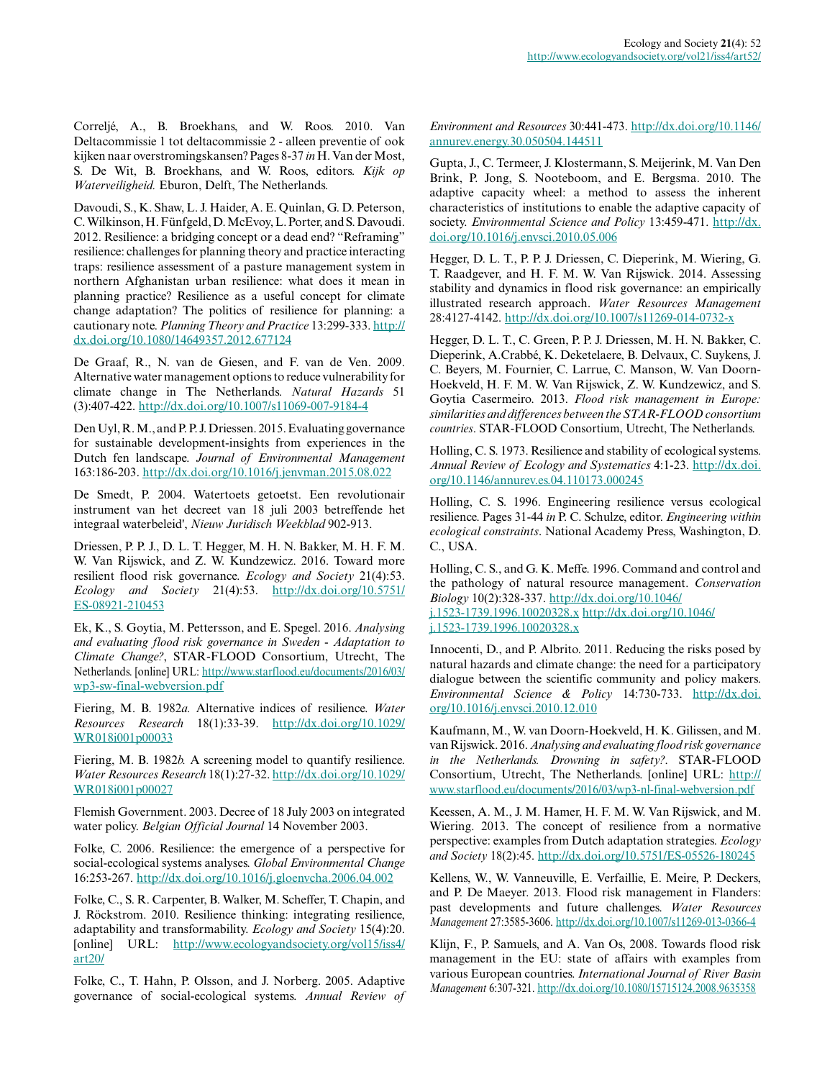Correljé, A., B. Broekhans, and W. Roos. 2010. Van Deltacommissie 1 tot deltacommissie 2 - alleen preventie of ook kijken naar overstromingskansen? Pages 8-37 *in* H. Van der Most, S. De Wit, B. Broekhans, and W. Roos, editors. *Kijk op Waterveiligheid.* Eburon, Delft, The Netherlands.

Davoudi, S., K. Shaw, L. J. Haider, A. E. Quinlan, G. D. Peterson, C. Wilkinson, H. Fünfgeld, D. McEvoy, L. Porter, and S. Davoudi. 2012. Resilience: a bridging concept or a dead end? "Reframing" resilience: challenges for planning theory and practice interacting traps: resilience assessment of a pasture management system in northern Afghanistan urban resilience: what does it mean in planning practice? Resilience as a useful concept for climate change adaptation? The politics of resilience for planning: a cautionary note. *Planning Theory and Practice* 13:299-333. [http://](http://dx.doi.org/10.1080%2F14649357.2012.677124) [dx.doi.org/10.1080/14649357.2012.677124](http://dx.doi.org/10.1080%2F14649357.2012.677124) 

De Graaf, R., N. van de Giesen, and F. van de Ven. 2009. Alternative water management options to reduce vulnerability for climate change in The Netherlands. *Natural Hazards* 51 (3):407-422. <http://dx.doi.org/10.1007/s11069-007-9184-4>

Den Uyl, R. M., and P. P. J. Driessen. 2015. Evaluating governance for sustainable development-insights from experiences in the Dutch fen landscape. *Journal of Environmental Management* 163:186-203. <http://dx.doi.org/10.1016/j.jenvman.2015.08.022>

De Smedt, P. 2004. Watertoets getoetst. Een revolutionair instrument van het decreet van 18 juli 2003 betreffende het integraal waterbeleid', *Nieuw Juridisch Weekblad* 902-913.

Driessen, P. P. J., D. L. T. Hegger, M. H. N. Bakker, M. H. F. M. W. Van Rijswick, and Z. W. Kundzewicz. 2016. Toward more resilient flood risk governance. *Ecology and Society* 21(4):53. *Ecology and Society* 21(4):53. [http://dx.doi.org/10.5751/](http://dx.doi.org/10.5751/ES-08921-210453) [ES-08921-210453](http://dx.doi.org/10.5751/ES-08921-210453)

Ek, K., S. Goytia, M. Pettersson, and E. Spegel. 2016. *Analysing and evaluating flood risk governance in Sweden - Adaptation to Climate Change?*, STAR-FLOOD Consortium, Utrecht, The Netherlands. [online] URL: [http://www.starflood.eu/documents/2016/03/](http://www.starflood.eu/documents/2016/03/wp3-sw-final-webversion.pdf) [wp3-sw-final-webversion.pdf](http://www.starflood.eu/documents/2016/03/wp3-sw-final-webversion.pdf)

Fiering, M. B. 1982*a.* Alternative indices of resilience. *Water Resources Research* 18(1):33-39. [http://dx.doi.org/10.1029/](http://dx.doi.org/10.1029%2FWR018i001p00033) [WR018i001p00033](http://dx.doi.org/10.1029%2FWR018i001p00033) 

Fiering, M. B. 1982*b.* A screening model to quantify resilience. *Water Resources Research* 18(1):27-32. [http://dx.doi.org/10.1029/](http://dx.doi.org/10.1029%2FWR018i001p00027) [WR018i001p00027](http://dx.doi.org/10.1029%2FWR018i001p00027) 

Flemish Government. 2003. Decree of 18 July 2003 on integrated water policy. *Belgian Official Journal* 14 November 2003.

Folke, C. 2006. Resilience: the emergence of a perspective for social-ecological systems analyses. *Global Environmental Change* 16:253-267.<http://dx.doi.org/10.1016/j.gloenvcha.2006.04.002>

Folke, C., S. R. Carpenter, B. Walker, M. Scheffer, T. Chapin, and J. Röckstrom. 2010. Resilience thinking: integrating resilience, adaptability and transformability. *Ecology and Society* 15(4):20. [online] URL: [http://www.ecologyandsociety.org/vol15/iss4/](http://www.ecologyandsociety.org/vol15/iss4/art20/) [art20/](http://www.ecologyandsociety.org/vol15/iss4/art20/)

Folke, C., T. Hahn, P. Olsson, and J. Norberg. 2005. Adaptive governance of social-ecological systems. *Annual Review of*

*Environment and Resources* 30:441-473. [http://dx.doi.org/10.1146/](http://dx.doi.org/10.1146/annurev.energy.30.050504.144511) [annurev.energy.30.050504.144511](http://dx.doi.org/10.1146/annurev.energy.30.050504.144511) 

Gupta, J., C. Termeer, J. Klostermann, S. Meijerink, M. Van Den Brink, P. Jong, S. Nooteboom, and E. Bergsma. 2010. The adaptive capacity wheel: a method to assess the inherent characteristics of institutions to enable the adaptive capacity of society. *Environmental Science and Policy* 13:459-471. [http://dx.](http://dx.doi.org/10.1016/j.envsci.2010.05.006) [doi.org/10.1016/j.envsci.2010.05.006](http://dx.doi.org/10.1016/j.envsci.2010.05.006) 

Hegger, D. L. T., P. P. J. Driessen, C. Dieperink, M. Wiering, G. T. Raadgever, and H. F. M. W. Van Rijswick. 2014. Assessing stability and dynamics in flood risk governance: an empirically illustrated research approach. *Water Resources Management* 28:4127-4142.<http://dx.doi.org/10.1007/s11269-014-0732-x>

Hegger, D. L. T., C. Green, P. P. J. Driessen, M. H. N. Bakker, C. Dieperink, A.Crabbé, K. Deketelaere, B. Delvaux, C. Suykens, J. C. Beyers, M. Fournier, C. Larrue, C. Manson, W. Van Doorn-Hoekveld, H. F. M. W. Van Rijswick, Z. W. Kundzewicz, and S. Goytia Casermeiro. 2013. *Flood risk management in Europe: similarities and differences between the STAR-FLOOD consortium countries*. STAR-FLOOD Consortium, Utrecht, The Netherlands.

Holling, C. S. 1973. Resilience and stability of ecological systems. *Annual Review of Ecology and Systematics* 4:1-23. [http://dx.doi.](http://dx.doi.org/10.1146/annurev.es.04.110173.000245) [org/10.1146/annurev.es.04.110173.000245](http://dx.doi.org/10.1146/annurev.es.04.110173.000245) 

Holling, C. S. 1996. Engineering resilience versus ecological resilience. Pages 31-44 *in* P. C. Schulze, editor. *Engineering within ecological constraints*. National Academy Press, Washington, D. C., USA.

Holling, C. S., and G. K. Meffe. 1996. Command and control and the pathology of natural resource management. *Conservation Biology* 10(2):328-337. [http://dx.doi.org/10.1046/](http://dx.doi.org/10.1046/j.1523-1739.1996.10020328.x) [j.1523-1739.1996.10020328.x](http://dx.doi.org/10.1046/j.1523-1739.1996.10020328.x) [http://dx.doi.org/10.1046/](http://dx.doi.org/10.1046%2Fj.1523-1739.1996.10020328.x) [j.1523-1739.1996.10020328.x](http://dx.doi.org/10.1046%2Fj.1523-1739.1996.10020328.x) 

Innocenti, D., and P. Albrito. 2011. Reducing the risks posed by natural hazards and climate change: the need for a participatory dialogue between the scientific community and policy makers. *Environmental Science & Policy* 14:730-733. [http://dx.doi.](http://dx.doi.org/10.1016%2Fj.envsci.2010.12.010) [org/10.1016/j.envsci.2010.12.010](http://dx.doi.org/10.1016%2Fj.envsci.2010.12.010) 

Kaufmann, M., W. van Doorn-Hoekveld, H. K. Gilissen, and M. van Rijswick. 2016. *Analysing and evaluating flood risk governance in the Netherlands. Drowning in safety?*. STAR-FLOOD Consortium, Utrecht, The Netherlands. [online] URL: [http://](http://www.starflood.eu/documents/2016/03/wp3-nl-final-webversion.pdf) [www.starflood.eu/documents/2016/03/wp3-nl-final-webversion.pdf](http://www.starflood.eu/documents/2016/03/wp3-nl-final-webversion.pdf)

Keessen, A. M., J. M. Hamer, H. F. M. W. Van Rijswick, and M. Wiering. 2013. The concept of resilience from a normative perspective: examples from Dutch adaptation strategies. *Ecology and Society* 18(2):45.<http://dx.doi.org/10.5751/ES-05526-180245>

Kellens, W., W. Vanneuville, E. Verfaillie, E. Meire, P. Deckers, and P. De Maeyer. 2013. Flood risk management in Flanders: past developments and future challenges. *Water Resources Management* 27:3585-3606. <http://dx.doi.org/10.1007/s11269-013-0366-4>

Klijn, F., P. Samuels, and A. Van Os, 2008. Towards flood risk management in the EU: state of affairs with examples from various European countries. *International Journal of River Basin Management* 6:307-321.<http://dx.doi.org/10.1080/15715124.2008.9635358>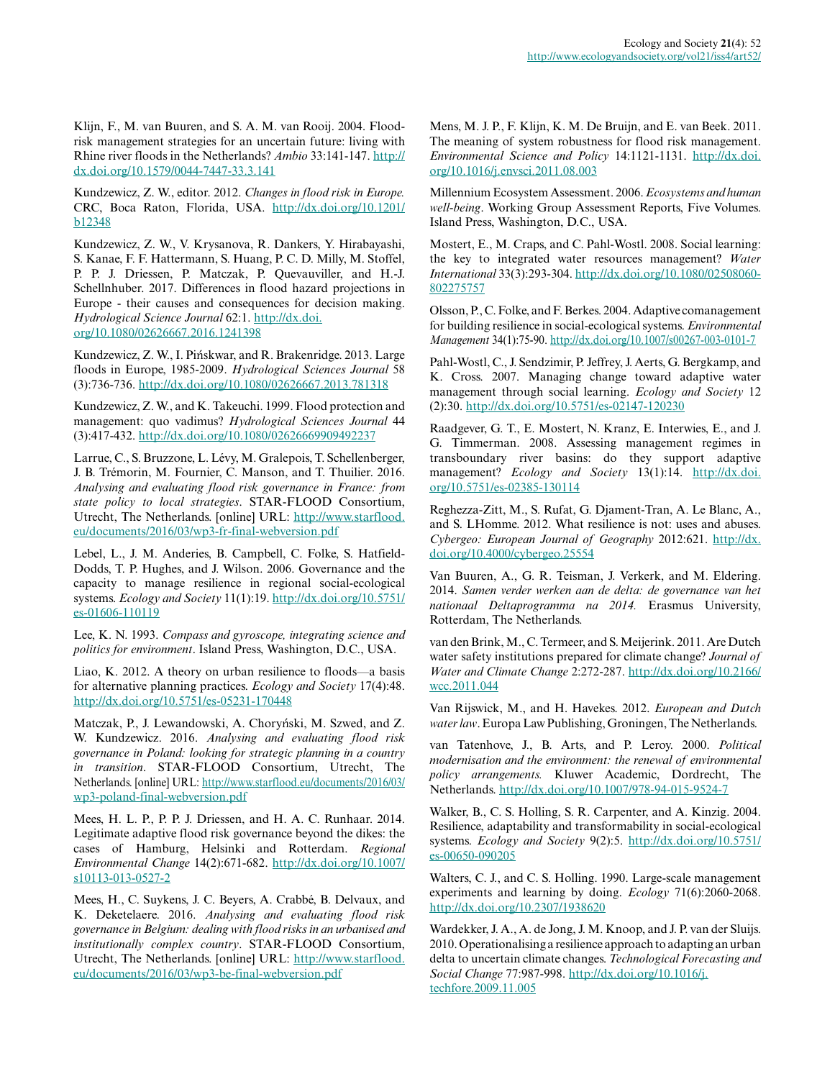Klijn, F., M. van Buuren, and S. A. M. van Rooij. 2004. Floodrisk management strategies for an uncertain future: living with Rhine river floods in the Netherlands? *Ambio* 33:141-147. [http://](http://dx.doi.org/10.1579/0044-7447-33.3.141) [dx.doi.org/10.1579/0044-7447-33.3.141](http://dx.doi.org/10.1579/0044-7447-33.3.141) 

Kundzewicz, Z. W., editor. 2012. *Changes in flood risk in Europe.* CRC, Boca Raton, Florida, USA. [http://dx.doi.org/10.1201/](http://dx.doi.org/10.1201%2Fb12348) [b12348](http://dx.doi.org/10.1201%2Fb12348)

Kundzewicz, Z. W., V. Krysanova, R. Dankers, Y. Hirabayashi, S. Kanae, F. F. Hattermann, S. Huang, P. C. D. Milly, M. Stoffel, P. P. J. Driessen, P. Matczak, P. Quevauviller, and H.-J. Schellnhuber. 2017. Differences in flood hazard projections in Europe - their causes and consequences for decision making. *Hydrological Science Journal* 62:1. [http://dx.doi.](http://dx.doi.org/10.1080%2F02626667.2016.1241398) [org/10.1080/02626667.2016.1241398](http://dx.doi.org/10.1080%2F02626667.2016.1241398) 

Kundzewicz, Z. W., I. Pińskwar, and R. Brakenridge. 2013. Large floods in Europe, 1985-2009. *Hydrological Sciences Journal* 58 (3):736-736. [http://dx.doi.org/10.1080/02626667.2013.781318](http://dx.doi.org/10.1080%2F02626667.2013.781318) 

Kundzewicz, Z. W., and K. Takeuchi. 1999. Flood protection and management: quo vadimus? *Hydrological Sciences Journal* 44 (3):417-432. [http://dx.doi.org/10.1080/02626669909492237](http://dx.doi.org/10.1080%2F02626669909492237)

Larrue, C., S. Bruzzone, L. Lévy, M. Gralepois, T. Schellenberger, J. B. Trémorin, M. Fournier, C. Manson, and T. Thuilier. 2016. *Analysing and evaluating flood risk governance in France: from state policy to local strategies*. STAR-FLOOD Consortium, Utrecht, The Netherlands. [online] URL: [http://www.starflood.](http://www.starflood.eu/documents/2016/03/wp3-fr-final-webversion.pdf) [eu/documents/2016/03/wp3-fr-final-webversion.pdf](http://www.starflood.eu/documents/2016/03/wp3-fr-final-webversion.pdf)

Lebel, L., J. M. Anderies, B. Campbell, C. Folke, S. Hatfield-Dodds, T. P. Hughes, and J. Wilson. 2006. Governance and the capacity to manage resilience in regional social-ecological systems. *Ecology and Society* 11(1):19. [http://dx.doi.org/10.5751/](http://dx.doi.org/10.5751%2Fes-01606-110119) [es-01606-110119](http://dx.doi.org/10.5751%2Fes-01606-110119) 

Lee, K. N. 1993. *Compass and gyroscope, integrating science and politics for environment*. Island Press, Washington, D.C., USA.

Liao, K. 2012. A theory on urban resilience to floods—a basis for alternative planning practices. *Ecology and Society* 17(4):48. [http://dx.doi.org/10.5751/es-05231-170448](http://dx.doi.org/10.5751%2Fes-05231-170448)

Matczak, P., J. Lewandowski, A. Choryński, M. Szwed, and Z. W. Kundzewicz. 2016. *Analysing and evaluating flood risk governance in Poland: looking for strategic planning in a country in transition*. STAR-FLOOD Consortium, Utrecht, The Netherlands. [online] URL: [http://www.starflood.eu/documents/2016/03/](http://www.starflood.eu/documents/2016/03/wp3-poland-final-webversion.pdf) [wp3-poland-final-webversion.pdf](http://www.starflood.eu/documents/2016/03/wp3-poland-final-webversion.pdf)

Mees, H. L. P., P. P. J. Driessen, and H. A. C. Runhaar. 2014. Legitimate adaptive flood risk governance beyond the dikes: the cases of Hamburg, Helsinki and Rotterdam. *Regional Environmental Change* 14(2):671-682. [http://dx.doi.org/10.1007/](http://dx.doi.org/10.1007%2Fs10113-013-0527-2) [s10113-013-0527-2](http://dx.doi.org/10.1007%2Fs10113-013-0527-2) 

Mees, H., C. Suykens, J. C. Beyers, A. Crabbé, B. Delvaux, and K. Deketelaere. 2016. *Analysing and evaluating flood risk governance in Belgium: dealing with flood risks in an urbanised and institutionally complex country*. STAR-FLOOD Consortium, Utrecht, The Netherlands. [online] URL: [http://www.starflood.](http://www.starflood.eu/documents/2016/03/wp3-be-final-webversion.pdf) [eu/documents/2016/03/wp3-be-final-webversion.pdf](http://www.starflood.eu/documents/2016/03/wp3-be-final-webversion.pdf)

Mens, M. J. P., F. Klijn, K. M. De Bruijn, and E. van Beek. 2011. The meaning of system robustness for flood risk management. *Environmental Science and Policy* 14:1121-1131. [http://dx.doi.](http://dx.doi.org/10.1016/j.envsci.2011.08.003) [org/10.1016/j.envsci.2011.08.003](http://dx.doi.org/10.1016/j.envsci.2011.08.003) 

Millennium Ecosystem Assessment. 2006. *Ecosystems and human well-being*. Working Group Assessment Reports, Five Volumes. Island Press, Washington, D.C., USA.

Mostert, E., M. Craps, and C. Pahl-Wostl. 2008. Social learning: the key to integrated water resources management? *Water International* 33(3):293-304. [http://dx.doi.org/10.1080/02508060](http://dx.doi.org/10.1080%2F02508060802275757) [802275757](http://dx.doi.org/10.1080%2F02508060802275757) 

Olsson, P., C. Folke, and F. Berkes. 2004. Adaptive comanagement for building resilience in social-ecological systems. *Environmental Management* 34(1):75-90. [http://dx.doi.org/10.1007/s00267-003-0101-7](http://dx.doi.org/10.1007%2Fs00267-003-0101-7) 

Pahl-Wostl, C., J. Sendzimir, P. Jeffrey, J. Aerts, G. Bergkamp, and K. Cross. 2007. Managing change toward adaptive water management through social learning. *Ecology and Society* 12 (2):30. [http://dx.doi.org/10.5751/es-02147-120230](http://dx.doi.org/10.5751%2Fes-02147-120230) 

Raadgever, G. T., E. Mostert, N. Kranz, E. Interwies, E., and J. G. Timmerman. 2008. Assessing management regimes in transboundary river basins: do they support adaptive management? *Ecology and Society* 13(1):14. [http://dx.doi.](http://dx.doi.org/10.5751%2Fes-02385-130114) [org/10.5751/es-02385-130114](http://dx.doi.org/10.5751%2Fes-02385-130114)

Reghezza-Zitt, M., S. Rufat, G. Djament-Tran, A. Le Blanc, A., and S. LHomme. 2012. What resilience is not: uses and abuses. *Cybergeo: European Journal of Geography* 2012:621. [http://dx.](http://dx.doi.org/10.4000%2Fcybergeo.25554) [doi.org/10.4000/cybergeo.25554](http://dx.doi.org/10.4000%2Fcybergeo.25554)

Van Buuren, A., G. R. Teisman, J. Verkerk, and M. Eldering. 2014. *Samen verder werken aan de delta: de governance van het nationaal Deltaprogramma na 2014.* Erasmus University, Rotterdam, The Netherlands.

van den Brink, M., C. Termeer, and S. Meijerink. 2011. Are Dutch water safety institutions prepared for climate change? *Journal of Water and Climate Change* 2:272-287. [http://dx.doi.org/10.2166/](http://dx.doi.org/10.2166%2Fwcc.2011.044) [wcc.2011.044](http://dx.doi.org/10.2166%2Fwcc.2011.044) 

Van Rijswick, M., and H. Havekes. 2012. *European and Dutch water law*. Europa Law Publishing, Groningen, The Netherlands.

van Tatenhove, J., B. Arts, and P. Leroy. 2000. *Political modernisation and the environment: the renewal of environmental policy arrangements.* Kluwer Academic, Dordrecht, The Netherlands. [http://dx.doi.org/10.1007/978-94-015-9524-7](http://dx.doi.org/10.1007%2F978-94-015-9524-7) 

Walker, B., C. S. Holling, S. R. Carpenter, and A. Kinzig. 2004. Resilience, adaptability and transformability in social-ecological systems. *Ecology and Society* 9(2):5. [http://dx.doi.org/10.5751/](http://dx.doi.org/10.5751%2Fes-00650-090205) [es-00650-090205](http://dx.doi.org/10.5751%2Fes-00650-090205) 

Walters, C. J., and C. S. Holling. 1990. Large-scale management experiments and learning by doing. *Ecology* 71(6):2060-2068. [http://dx.doi.org/10.2307/1938620](http://dx.doi.org/10.2307%2F1938620) 

Wardekker, J. A., A. de Jong, J. M. Knoop, and J. P. van der Sluijs. 2010. Operationalising a resilience approach to adapting an urban delta to uncertain climate changes. *Technological Forecasting and Social Change* 77:987-998. [http://dx.doi.org/10.1016/j.](http://dx.doi.org/10.1016/j.techfore.2009.11.005) [techfore.2009.11.005](http://dx.doi.org/10.1016/j.techfore.2009.11.005)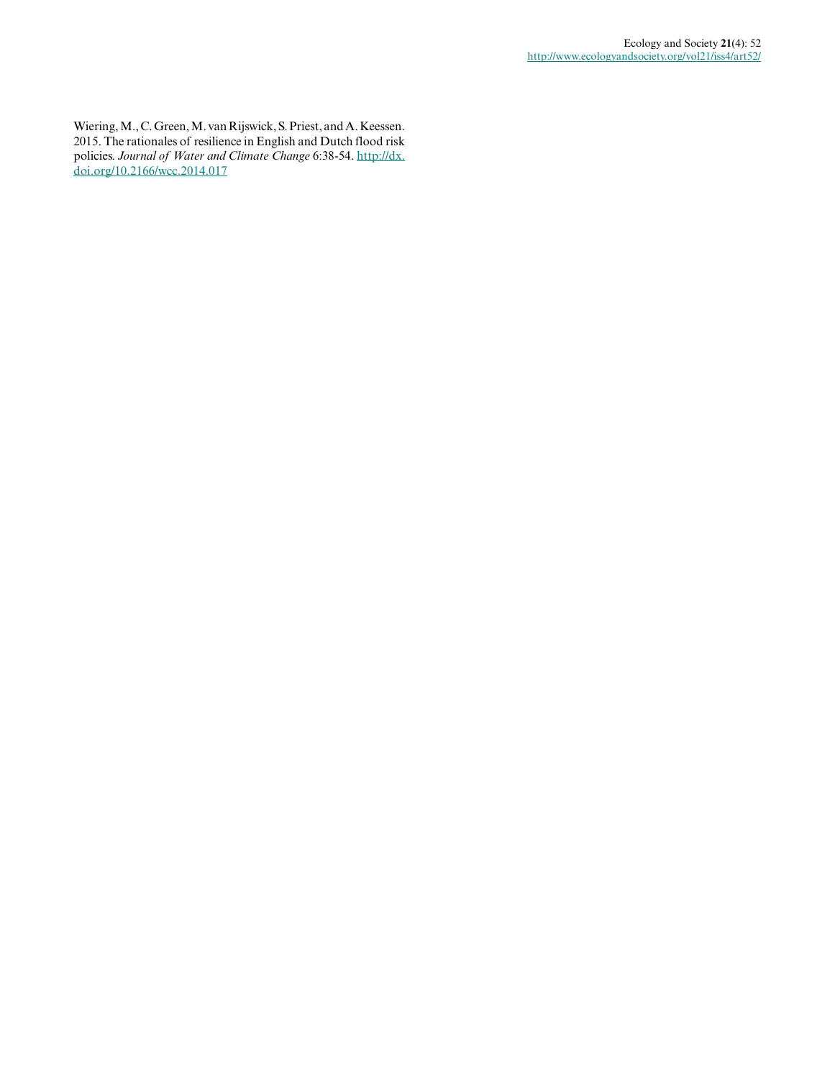Wiering, M., C. Green, M. van Rijswick, S. Priest, and A. Keessen. 2015. The rationales of resilience in English and Dutch flood risk policies. *Journal of Water and Climate Change* 6:38-54. [http://dx.](http://dx.doi.org/10.2166/wcc.2014.017) [doi.org/10.2166/wcc.2014.017](http://dx.doi.org/10.2166/wcc.2014.017)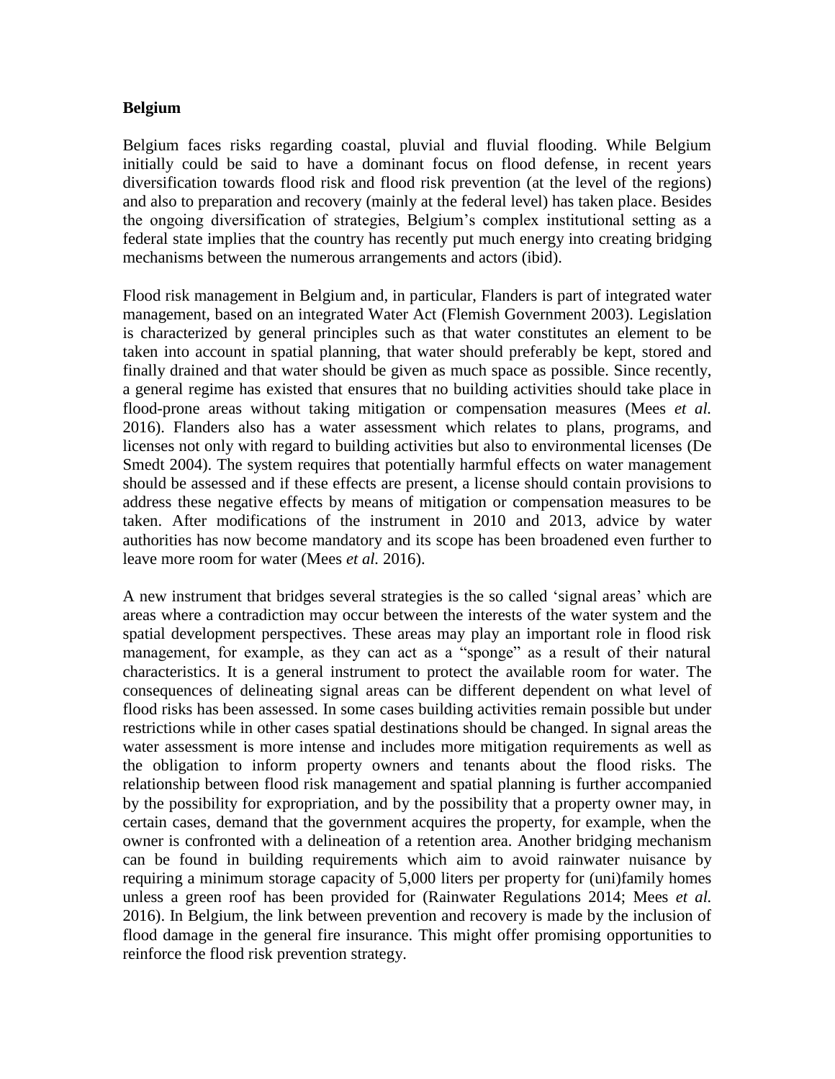# **Belgium**

Belgium faces risks regarding coastal, pluvial and fluvial flooding. While Belgium initially could be said to have a dominant focus on flood defense, in recent years diversification towards flood risk and flood risk prevention (at the level of the regions) and also to preparation and recovery (mainly at the federal level) has taken place. Besides the ongoing diversification of strategies, Belgium's complex institutional setting as a federal state implies that the country has recently put much energy into creating bridging mechanisms between the numerous arrangements and actors (ibid).

Flood risk management in Belgium and, in particular, Flanders is part of integrated water management, based on an integrated Water Act (Flemish Government 2003). Legislation is characterized by general principles such as that water constitutes an element to be taken into account in spatial planning, that water should preferably be kept, stored and finally drained and that water should be given as much space as possible. Since recently, a general regime has existed that ensures that no building activities should take place in flood-prone areas without taking mitigation or compensation measures (Mees *et al.* 2016). Flanders also has a water assessment which relates to plans, programs, and licenses not only with regard to building activities but also to environmental licenses (De Smedt 2004). The system requires that potentially harmful effects on water management should be assessed and if these effects are present, a license should contain provisions to address these negative effects by means of mitigation or compensation measures to be taken. After modifications of the instrument in 2010 and 2013, advice by water authorities has now become mandatory and its scope has been broadened even further to leave more room for water (Mees *et al.* 2016).

A new instrument that bridges several strategies is the so called 'signal areas' which are areas where a contradiction may occur between the interests of the water system and the spatial development perspectives. These areas may play an important role in flood risk management, for example, as they can act as a "sponge" as a result of their natural characteristics. It is a general instrument to protect the available room for water. The consequences of delineating signal areas can be different dependent on what level of flood risks has been assessed. In some cases building activities remain possible but under restrictions while in other cases spatial destinations should be changed. In signal areas the water assessment is more intense and includes more mitigation requirements as well as the obligation to inform property owners and tenants about the flood risks. The relationship between flood risk management and spatial planning is further accompanied by the possibility for expropriation, and by the possibility that a property owner may, in certain cases, demand that the government acquires the property, for example, when the owner is confronted with a delineation of a retention area. Another bridging mechanism can be found in building requirements which aim to avoid rainwater nuisance by requiring a minimum storage capacity of 5,000 liters per property for (uni)family homes unless a green roof has been provided for (Rainwater Regulations 2014; Mees *et al.* 2016). In Belgium, the link between prevention and recovery is made by the inclusion of flood damage in the general fire insurance. This might offer promising opportunities to reinforce the flood risk prevention strategy.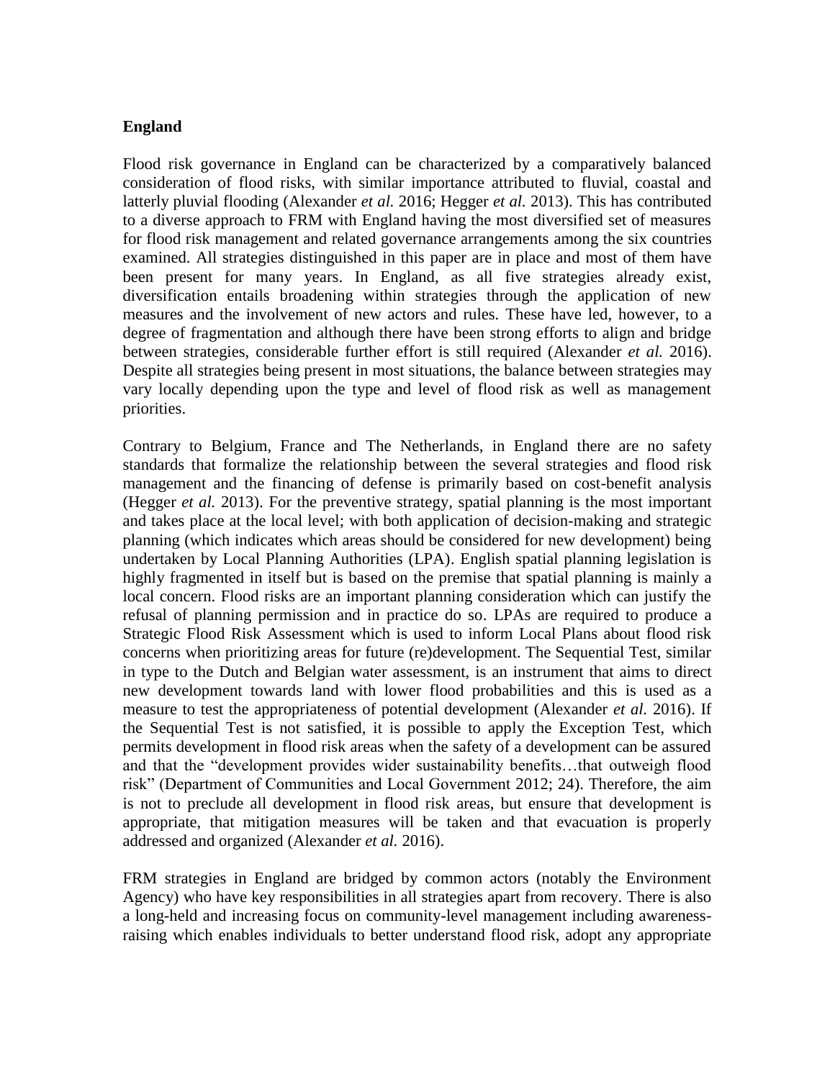# **England**

Flood risk governance in England can be characterized by a comparatively balanced consideration of flood risks, with similar importance attributed to fluvial, coastal and latterly pluvial flooding (Alexander *et al.* 2016; Hegger *et al.* 2013). This has contributed to a diverse approach to FRM with England having the most diversified set of measures for flood risk management and related governance arrangements among the six countries examined. All strategies distinguished in this paper are in place and most of them have been present for many years. In England, as all five strategies already exist, diversification entails broadening within strategies through the application of new measures and the involvement of new actors and rules. These have led, however, to a degree of fragmentation and although there have been strong efforts to align and bridge between strategies, considerable further effort is still required (Alexander *et al.* 2016). Despite all strategies being present in most situations, the balance between strategies may vary locally depending upon the type and level of flood risk as well as management priorities.

Contrary to Belgium, France and The Netherlands, in England there are no safety standards that formalize the relationship between the several strategies and flood risk management and the financing of defense is primarily based on cost-benefit analysis (Hegger *et al.* 2013). For the preventive strategy, spatial planning is the most important and takes place at the local level; with both application of decision-making and strategic planning (which indicates which areas should be considered for new development) being undertaken by Local Planning Authorities (LPA). English spatial planning legislation is highly fragmented in itself but is based on the premise that spatial planning is mainly a local concern. Flood risks are an important planning consideration which can justify the refusal of planning permission and in practice do so. LPAs are required to produce a Strategic Flood Risk Assessment which is used to inform Local Plans about flood risk concerns when prioritizing areas for future (re)development. The Sequential Test, similar in type to the Dutch and Belgian water assessment, is an instrument that aims to direct new development towards land with lower flood probabilities and this is used as a measure to test the appropriateness of potential development (Alexander *et al.* 2016). If the Sequential Test is not satisfied, it is possible to apply the Exception Test, which permits development in flood risk areas when the safety of a development can be assured and that the "development provides wider sustainability benefits…that outweigh flood risk" (Department of Communities and Local Government 2012; 24). Therefore, the aim is not to preclude all development in flood risk areas, but ensure that development is appropriate, that mitigation measures will be taken and that evacuation is properly addressed and organized (Alexander *et al.* 2016).

FRM strategies in England are bridged by common actors (notably the Environment Agency) who have key responsibilities in all strategies apart from recovery. There is also a long-held and increasing focus on community-level management including awarenessraising which enables individuals to better understand flood risk, adopt any appropriate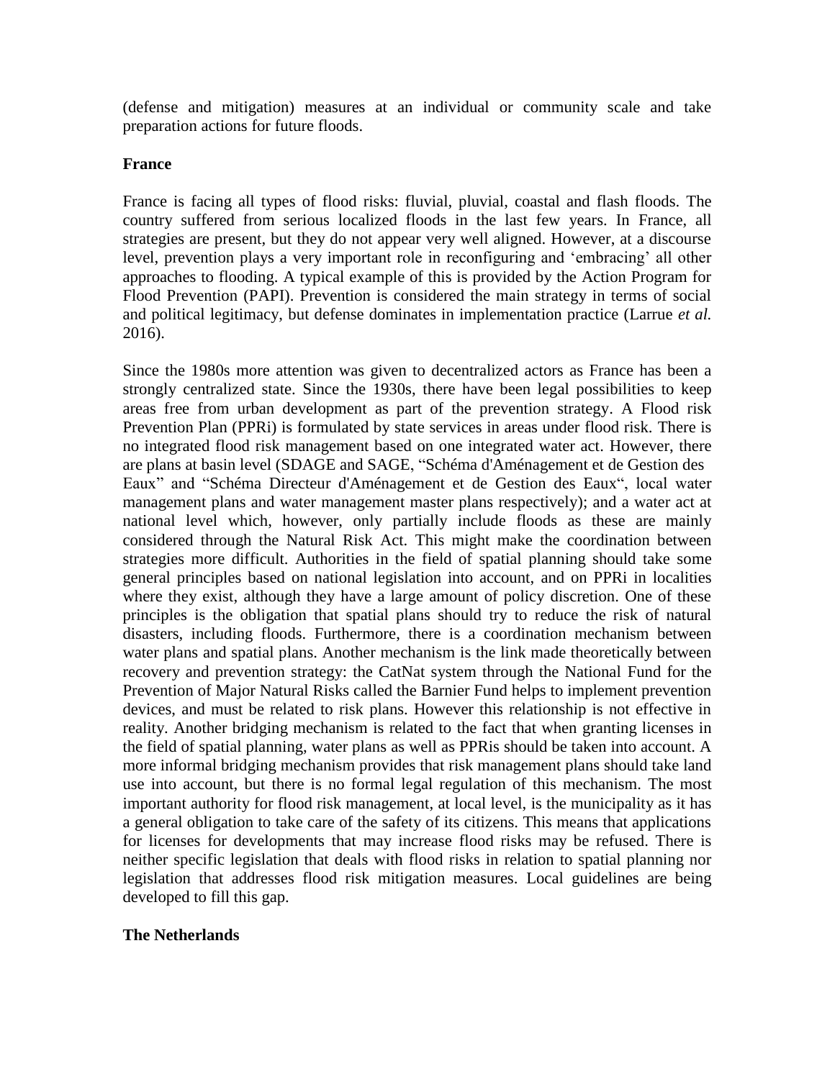(defense and mitigation) measures at an individual or community scale and take preparation actions for future floods.

# **France**

France is facing all types of flood risks: fluvial, pluvial, coastal and flash floods. The country suffered from serious localized floods in the last few years. In France, all strategies are present, but they do not appear very well aligned. However, at a discourse level, prevention plays a very important role in reconfiguring and 'embracing' all other approaches to flooding. A typical example of this is provided by the Action Program for Flood Prevention (PAPI). Prevention is considered the main strategy in terms of social and political legitimacy, but defense dominates in implementation practice (Larrue *et al.* 2016).

Since the 1980s more attention was given to decentralized actors as France has been a strongly centralized state. Since the 1930s, there have been legal possibilities to keep areas free from urban development as part of the prevention strategy. A Flood risk Prevention Plan (PPRi) is formulated by state services in areas under flood risk. There is no integrated flood risk management based on one integrated water act. However, there are plans at basin level (SDAGE and SAGE, "Schéma d'Aménagement et de Gestion des Eaux" and "Schéma Directeur d'Aménagement et de Gestion des Eaux", local water management plans and water management master plans respectively); and a water act at national level which, however, only partially include floods as these are mainly considered through the Natural Risk Act. This might make the coordination between strategies more difficult. Authorities in the field of spatial planning should take some general principles based on national legislation into account, and on PPRi in localities where they exist, although they have a large amount of policy discretion. One of these principles is the obligation that spatial plans should try to reduce the risk of natural disasters, including floods. Furthermore, there is a coordination mechanism between water plans and spatial plans. Another mechanism is the link made theoretically between recovery and prevention strategy: the CatNat system through the National Fund for the Prevention of Major Natural Risks called the Barnier Fund helps to implement prevention devices, and must be related to risk plans. However this relationship is not effective in reality. Another bridging mechanism is related to the fact that when granting licenses in the field of spatial planning, water plans as well as PPRis should be taken into account. A more informal bridging mechanism provides that risk management plans should take land use into account, but there is no formal legal regulation of this mechanism. The most important authority for flood risk management, at local level, is the municipality as it has a general obligation to take care of the safety of its citizens. This means that applications for licenses for developments that may increase flood risks may be refused. There is neither specific legislation that deals with flood risks in relation to spatial planning nor legislation that addresses flood risk mitigation measures. Local guidelines are being developed to fill this gap.

# **The Netherlands**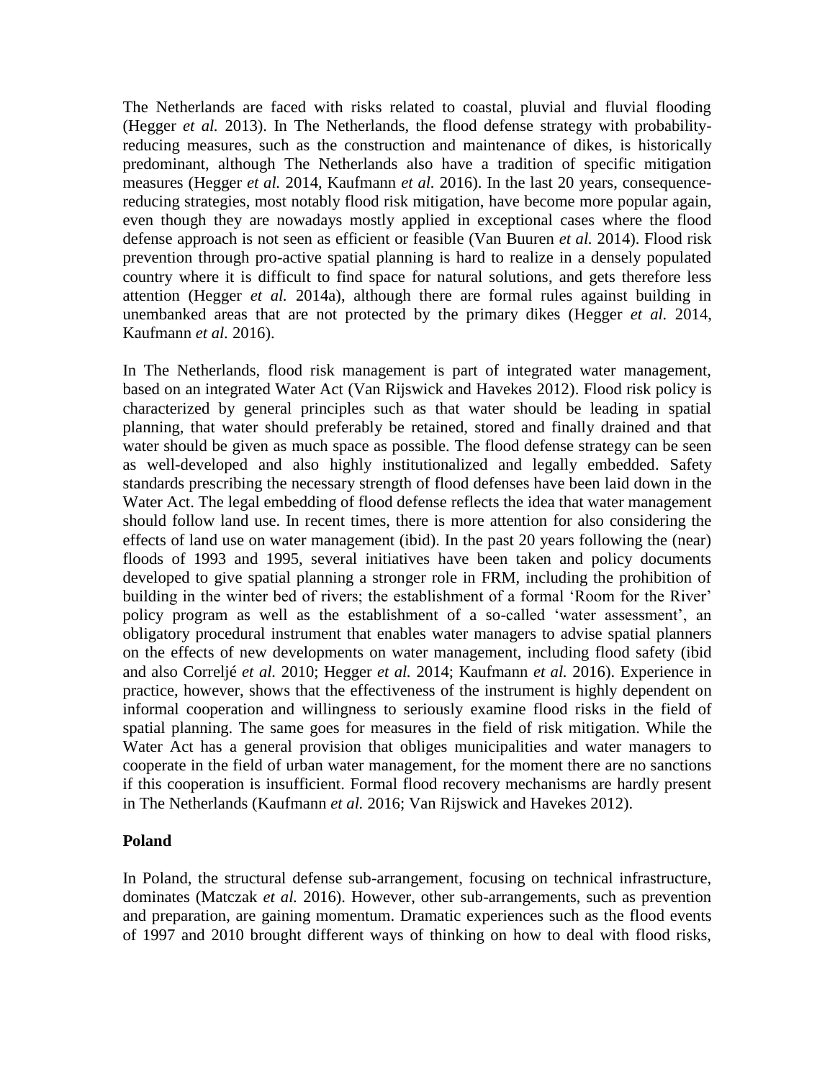The Netherlands are faced with risks related to coastal, pluvial and fluvial flooding (Hegger *et al.* 2013). In The Netherlands, the flood defense strategy with probabilityreducing measures, such as the construction and maintenance of dikes, is historically predominant, although The Netherlands also have a tradition of specific mitigation measures (Hegger *et al.* 2014, Kaufmann *et al.* 2016). In the last 20 years, consequencereducing strategies, most notably flood risk mitigation, have become more popular again, even though they are nowadays mostly applied in exceptional cases where the flood defense approach is not seen as efficient or feasible (Van Buuren *et al.* 2014). Flood risk prevention through pro-active spatial planning is hard to realize in a densely populated country where it is difficult to find space for natural solutions, and gets therefore less attention (Hegger *et al.* 2014a), although there are formal rules against building in unembanked areas that are not protected by the primary dikes (Hegger *et al.* 2014, Kaufmann *et al.* 2016).

In The Netherlands, flood risk management is part of integrated water management, based on an integrated Water Act (Van Rijswick and Havekes 2012). Flood risk policy is characterized by general principles such as that water should be leading in spatial planning, that water should preferably be retained, stored and finally drained and that water should be given as much space as possible. The flood defense strategy can be seen as well-developed and also highly institutionalized and legally embedded. Safety standards prescribing the necessary strength of flood defenses have been laid down in the Water Act. The legal embedding of flood defense reflects the idea that water management should follow land use. In recent times, there is more attention for also considering the effects of land use on water management (ibid). In the past 20 years following the (near) floods of 1993 and 1995, several initiatives have been taken and policy documents developed to give spatial planning a stronger role in FRM, including the prohibition of building in the winter bed of rivers; the establishment of a formal 'Room for the River' policy program as well as the establishment of a so-called 'water assessment', an obligatory procedural instrument that enables water managers to advise spatial planners on the effects of new developments on water management, including flood safety (ibid and also Correljé *et al.* 2010; Hegger *et al.* 2014; Kaufmann *et al.* 2016). Experience in practice, however, shows that the effectiveness of the instrument is highly dependent on informal cooperation and willingness to seriously examine flood risks in the field of spatial planning. The same goes for measures in the field of risk mitigation. While the Water Act has a general provision that obliges municipalities and water managers to cooperate in the field of urban water management, for the moment there are no sanctions if this cooperation is insufficient. Formal flood recovery mechanisms are hardly present in The Netherlands (Kaufmann *et al.* 2016; Van Rijswick and Havekes 2012).

# **Poland**

In Poland, the structural defense sub-arrangement, focusing on technical infrastructure, dominates (Matczak *et al.* 2016). However, other sub-arrangements, such as prevention and preparation, are gaining momentum. Dramatic experiences such as the flood events of 1997 and 2010 brought different ways of thinking on how to deal with flood risks,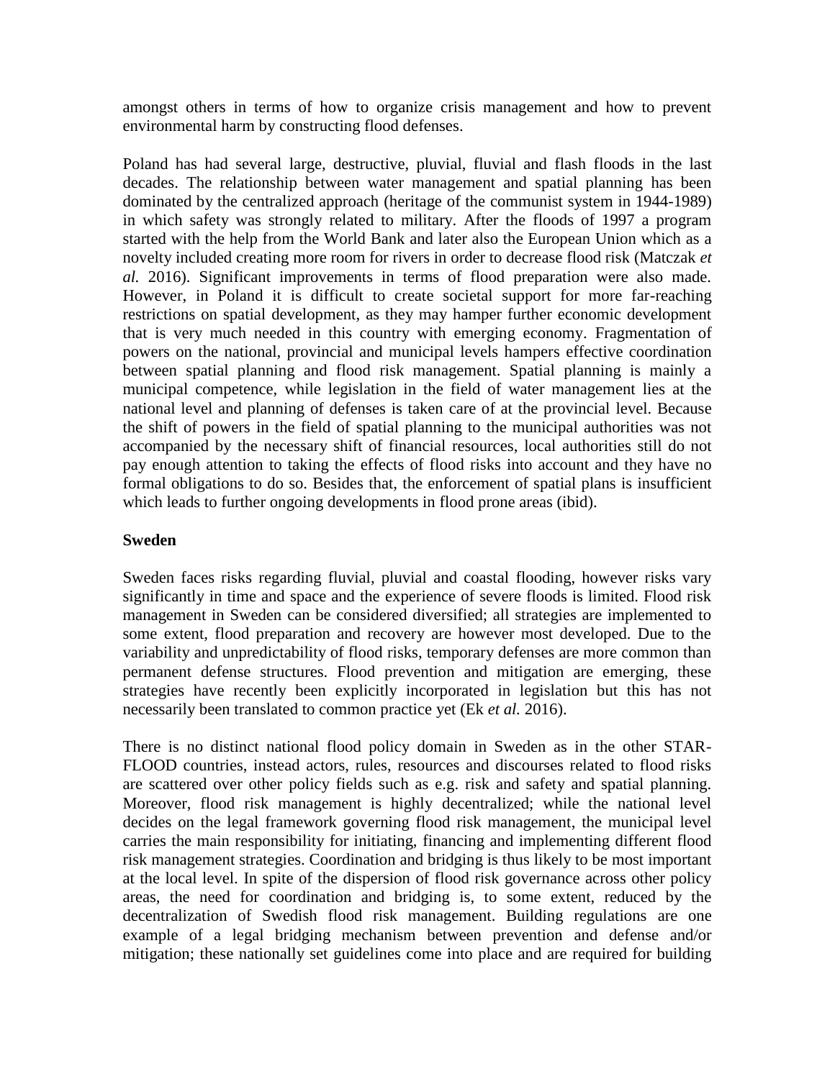amongst others in terms of how to organize crisis management and how to prevent environmental harm by constructing flood defenses.

Poland has had several large, destructive, pluvial, fluvial and flash floods in the last decades. The relationship between water management and spatial planning has been dominated by the centralized approach (heritage of the communist system in 1944-1989) in which safety was strongly related to military. After the floods of 1997 a program started with the help from the World Bank and later also the European Union which as a novelty included creating more room for rivers in order to decrease flood risk (Matczak *et al.* 2016). Significant improvements in terms of flood preparation were also made. However, in Poland it is difficult to create societal support for more far-reaching restrictions on spatial development, as they may hamper further economic development that is very much needed in this country with emerging economy. Fragmentation of powers on the national, provincial and municipal levels hampers effective coordination between spatial planning and flood risk management. Spatial planning is mainly a municipal competence, while legislation in the field of water management lies at the national level and planning of defenses is taken care of at the provincial level. Because the shift of powers in the field of spatial planning to the municipal authorities was not accompanied by the necessary shift of financial resources, local authorities still do not pay enough attention to taking the effects of flood risks into account and they have no formal obligations to do so. Besides that, the enforcement of spatial plans is insufficient which leads to further ongoing developments in flood prone areas (ibid).

# **Sweden**

Sweden faces risks regarding fluvial, pluvial and coastal flooding, however risks vary significantly in time and space and the experience of severe floods is limited. Flood risk management in Sweden can be considered diversified; all strategies are implemented to some extent, flood preparation and recovery are however most developed. Due to the variability and unpredictability of flood risks, temporary defenses are more common than permanent defense structures. Flood prevention and mitigation are emerging, these strategies have recently been explicitly incorporated in legislation but this has not necessarily been translated to common practice yet (Ek *et al.* 2016).

There is no distinct national flood policy domain in Sweden as in the other STAR-FLOOD countries, instead actors, rules, resources and discourses related to flood risks are scattered over other policy fields such as e.g. risk and safety and spatial planning. Moreover, flood risk management is highly decentralized; while the national level decides on the legal framework governing flood risk management, the municipal level carries the main responsibility for initiating, financing and implementing different flood risk management strategies. Coordination and bridging is thus likely to be most important at the local level. In spite of the dispersion of flood risk governance across other policy areas, the need for coordination and bridging is, to some extent, reduced by the decentralization of Swedish flood risk management. Building regulations are one example of a legal bridging mechanism between prevention and defense and/or mitigation; these nationally set guidelines come into place and are required for building